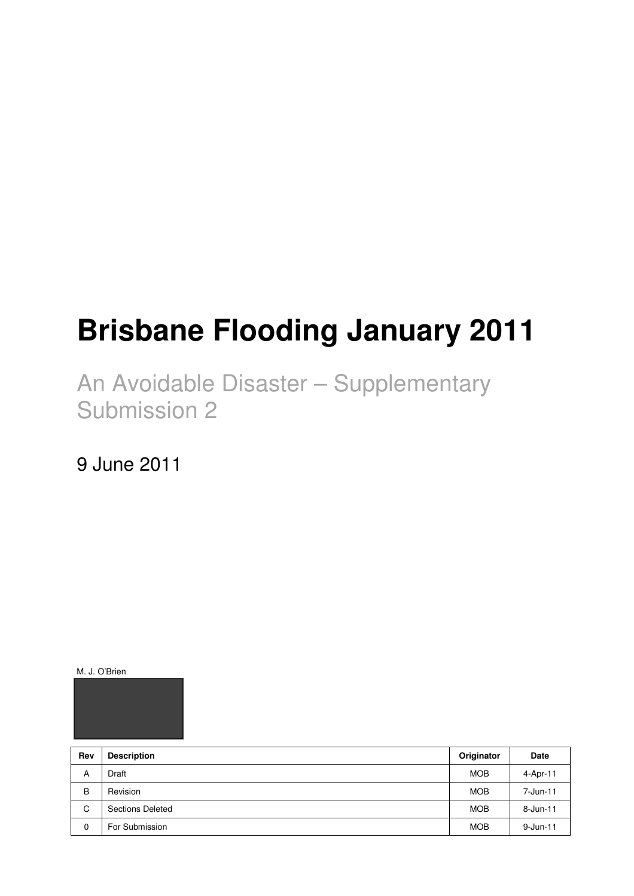# **Brisbane Flooding January 2011**

An Avoidable Disaster – Supplementary Submission 2

9 June 2011

M. J. O'Brien



| Rev | <b>Description</b> | Originator | Date         |
|-----|--------------------|------------|--------------|
| A   | Draft              | <b>MOB</b> | 4-Apr-11     |
| B   | Revision           | <b>MOB</b> | 7-Jun-11     |
| C   | Sections Deleted   | <b>MOB</b> | $8 - Jun-11$ |
| 0   | For Submission     | <b>MOB</b> | $9 - Jun-11$ |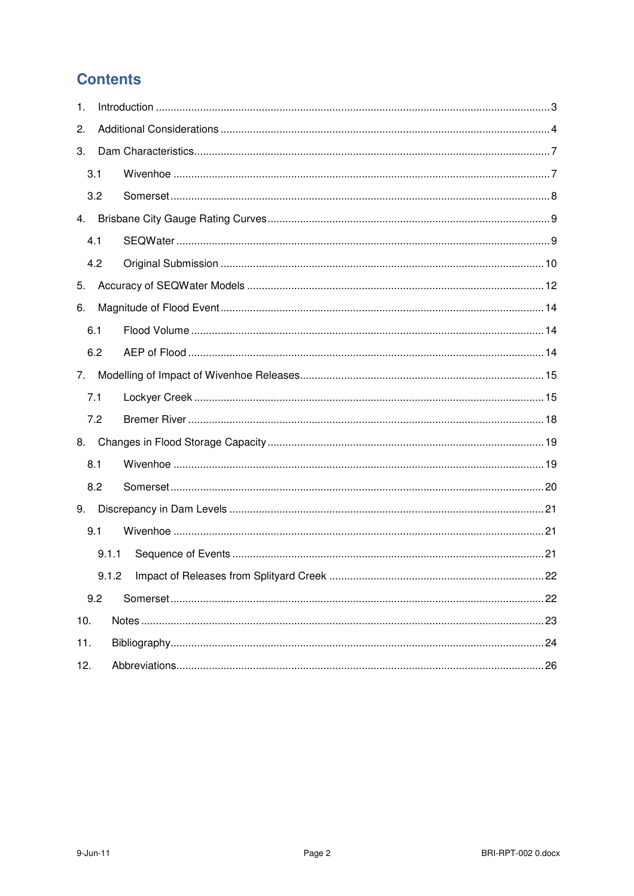# **Contents**

| 1.  |       |  |  |  |  |  |  |
|-----|-------|--|--|--|--|--|--|
| 2.  |       |  |  |  |  |  |  |
| 3.  |       |  |  |  |  |  |  |
|     | 3.1   |  |  |  |  |  |  |
|     | 3.2   |  |  |  |  |  |  |
| 4.  |       |  |  |  |  |  |  |
|     | 4.1   |  |  |  |  |  |  |
|     | 4.2   |  |  |  |  |  |  |
| 5.  |       |  |  |  |  |  |  |
| 6.  |       |  |  |  |  |  |  |
|     | 6.1   |  |  |  |  |  |  |
|     | 6.2   |  |  |  |  |  |  |
| 7.  |       |  |  |  |  |  |  |
|     | 7.1   |  |  |  |  |  |  |
|     | 7.2   |  |  |  |  |  |  |
| 8.  |       |  |  |  |  |  |  |
|     | 8.1   |  |  |  |  |  |  |
|     | 8.2   |  |  |  |  |  |  |
| 9.  |       |  |  |  |  |  |  |
|     | 9.1   |  |  |  |  |  |  |
|     | 9.1.1 |  |  |  |  |  |  |
|     |       |  |  |  |  |  |  |
|     | 9.2   |  |  |  |  |  |  |
| 10. |       |  |  |  |  |  |  |
| 11. |       |  |  |  |  |  |  |
| 12. |       |  |  |  |  |  |  |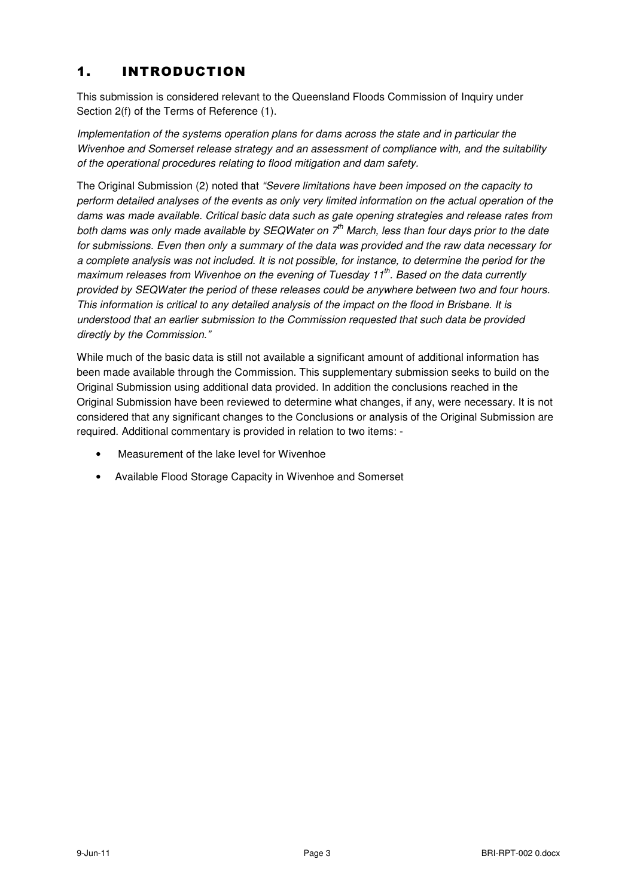#### 1. INTRODUCTION

This submission is considered relevant to the Queensland Floods Commission of Inquiry under Section 2(f) of the Terms of Reference (1).

Implementation of the systems operation plans for dams across the state and in particular the Wivenhoe and Somerset release strategy and an assessment of compliance with, and the suitability of the operational procedures relating to flood mitigation and dam safety.

The Original Submission (2) noted that "Severe limitations have been imposed on the capacity to perform detailed analyses of the events as only very limited information on the actual operation of the dams was made available. Critical basic data such as gate opening strategies and release rates from both dams was only made available by SEQWater on  $7<sup>th</sup>$  March, less than four days prior to the date for submissions. Even then only a summary of the data was provided and the raw data necessary for a complete analysis was not included. It is not possible, for instance, to determine the period for the maximum releases from Wivenhoe on the evening of Tuesday 11<sup>th</sup>. Based on the data currently provided by SEQWater the period of these releases could be anywhere between two and four hours. This information is critical to any detailed analysis of the impact on the flood in Brisbane. It is understood that an earlier submission to the Commission requested that such data be provided directly by the Commission."

While much of the basic data is still not available a significant amount of additional information has been made available through the Commission. This supplementary submission seeks to build on the Original Submission using additional data provided. In addition the conclusions reached in the Original Submission have been reviewed to determine what changes, if any, were necessary. It is not considered that any significant changes to the Conclusions or analysis of the Original Submission are required. Additional commentary is provided in relation to two items: -

- Measurement of the lake level for Wivenhoe
- Available Flood Storage Capacity in Wivenhoe and Somerset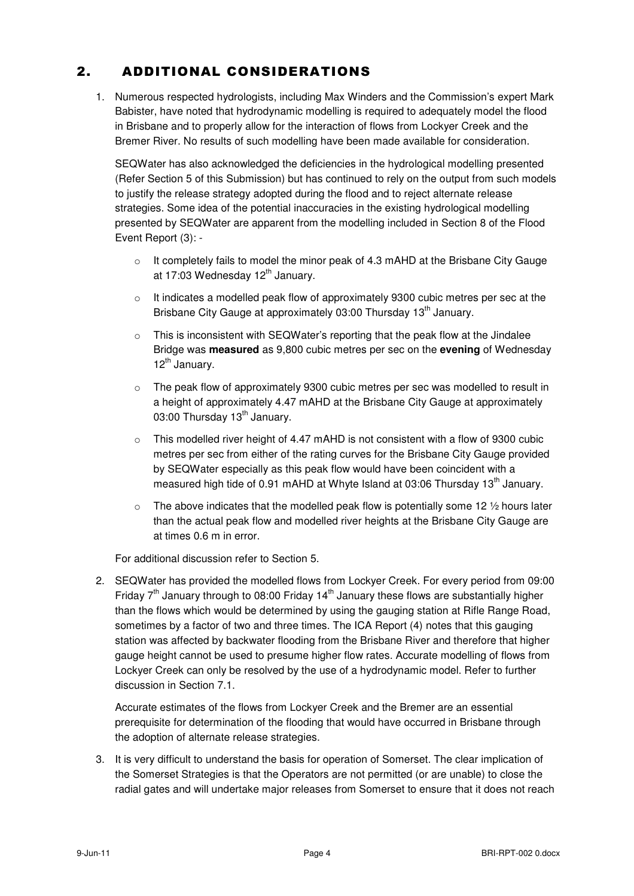## 2. ADDITIONAL CONSIDERATIONS

1. Numerous respected hydrologists, including Max Winders and the Commission's expert Mark Babister, have noted that hydrodynamic modelling is required to adequately model the flood in Brisbane and to properly allow for the interaction of flows from Lockyer Creek and the Bremer River. No results of such modelling have been made available for consideration.

SEQWater has also acknowledged the deficiencies in the hydrological modelling presented (Refer Section 5 of this Submission) but has continued to rely on the output from such models to justify the release strategy adopted during the flood and to reject alternate release strategies. Some idea of the potential inaccuracies in the existing hydrological modelling presented by SEQWater are apparent from the modelling included in Section 8 of the Flood Event Report (3): -

- $\circ$  It completely fails to model the minor peak of 4.3 mAHD at the Brisbane City Gauge at 17:03 Wednesday  $12<sup>th</sup>$  January.
- $\circ$  It indicates a modelled peak flow of approximately 9300 cubic metres per sec at the Brisbane City Gauge at approximately 03:00 Thursday 13<sup>th</sup> January.
- o This is inconsistent with SEQWater's reporting that the peak flow at the Jindalee Bridge was **measured** as 9,800 cubic metres per sec on the **evening** of Wednesday 12<sup>th</sup> January.
- The peak flow of approximately 9300 cubic metres per sec was modelled to result in a height of approximately 4.47 mAHD at the Brisbane City Gauge at approximately 03:00 Thursday 13<sup>th</sup> January.
- $\circ$  This modelled river height of 4.47 mAHD is not consistent with a flow of 9300 cubic metres per sec from either of the rating curves for the Brisbane City Gauge provided by SEQWater especially as this peak flow would have been coincident with a measured high tide of 0.91 mAHD at Whyte Island at 03:06 Thursday 13<sup>th</sup> January.
- $\circ$  The above indicates that the modelled peak flow is potentially some 12  $\frac{1}{2}$  hours later than the actual peak flow and modelled river heights at the Brisbane City Gauge are at times 0.6 m in error.

For additional discussion refer to Section 5.

2. SEQWater has provided the modelled flows from Lockyer Creek. For every period from 09:00 Friday  $7<sup>th</sup>$  January through to 08:00 Friday 14<sup>th</sup> January these flows are substantially higher than the flows which would be determined by using the gauging station at Rifle Range Road, sometimes by a factor of two and three times. The ICA Report (4) notes that this gauging station was affected by backwater flooding from the Brisbane River and therefore that higher gauge height cannot be used to presume higher flow rates. Accurate modelling of flows from Lockyer Creek can only be resolved by the use of a hydrodynamic model. Refer to further discussion in Section 7.1.

Accurate estimates of the flows from Lockyer Creek and the Bremer are an essential prerequisite for determination of the flooding that would have occurred in Brisbane through the adoption of alternate release strategies.

3. It is very difficult to understand the basis for operation of Somerset. The clear implication of the Somerset Strategies is that the Operators are not permitted (or are unable) to close the radial gates and will undertake major releases from Somerset to ensure that it does not reach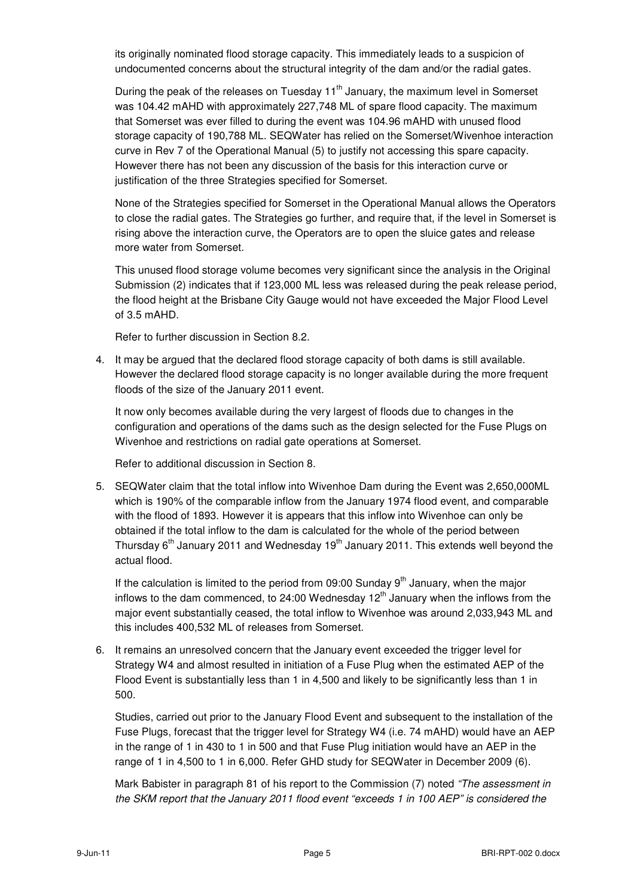its originally nominated flood storage capacity. This immediately leads to a suspicion of undocumented concerns about the structural integrity of the dam and/or the radial gates.

During the peak of the releases on Tuesday  $11<sup>th</sup>$  January, the maximum level in Somerset was 104.42 mAHD with approximately 227,748 ML of spare flood capacity. The maximum that Somerset was ever filled to during the event was 104.96 mAHD with unused flood storage capacity of 190,788 ML. SEQWater has relied on the Somerset/Wivenhoe interaction curve in Rev 7 of the Operational Manual (5) to justify not accessing this spare capacity. However there has not been any discussion of the basis for this interaction curve or justification of the three Strategies specified for Somerset.

None of the Strategies specified for Somerset in the Operational Manual allows the Operators to close the radial gates. The Strategies go further, and require that, if the level in Somerset is rising above the interaction curve, the Operators are to open the sluice gates and release more water from Somerset.

This unused flood storage volume becomes very significant since the analysis in the Original Submission (2) indicates that if 123,000 ML less was released during the peak release period, the flood height at the Brisbane City Gauge would not have exceeded the Major Flood Level of 3.5 mAHD.

Refer to further discussion in Section 8.2.

4. It may be argued that the declared flood storage capacity of both dams is still available. However the declared flood storage capacity is no longer available during the more frequent floods of the size of the January 2011 event.

It now only becomes available during the very largest of floods due to changes in the configuration and operations of the dams such as the design selected for the Fuse Plugs on Wivenhoe and restrictions on radial gate operations at Somerset.

Refer to additional discussion in Section 8.

5. SEQWater claim that the total inflow into Wivenhoe Dam during the Event was 2,650,000ML which is 190% of the comparable inflow from the January 1974 flood event, and comparable with the flood of 1893. However it is appears that this inflow into Wivenhoe can only be obtained if the total inflow to the dam is calculated for the whole of the period between Thursday  $6<sup>th</sup>$  January 2011 and Wednesday 19 $<sup>th</sup>$  January 2011. This extends well beyond the</sup> actual flood.

If the calculation is limited to the period from 09:00 Sunday  $9<sup>th</sup>$  January, when the major inflows to the dam commenced, to 24:00 Wednesday  $12<sup>th</sup>$  January when the inflows from the major event substantially ceased, the total inflow to Wivenhoe was around 2,033,943 ML and this includes 400,532 ML of releases from Somerset.

6. It remains an unresolved concern that the January event exceeded the trigger level for Strategy W4 and almost resulted in initiation of a Fuse Plug when the estimated AEP of the Flood Event is substantially less than 1 in 4,500 and likely to be significantly less than 1 in 500.

Studies, carried out prior to the January Flood Event and subsequent to the installation of the Fuse Plugs, forecast that the trigger level for Strategy W4 (i.e. 74 mAHD) would have an AEP in the range of 1 in 430 to 1 in 500 and that Fuse Plug initiation would have an AEP in the range of 1 in 4,500 to 1 in 6,000. Refer GHD study for SEQWater in December 2009 (6).

Mark Babister in paragraph 81 of his report to the Commission (7) noted "The assessment in the SKM report that the January 2011 flood event "exceeds 1 in 100 AEP" is considered the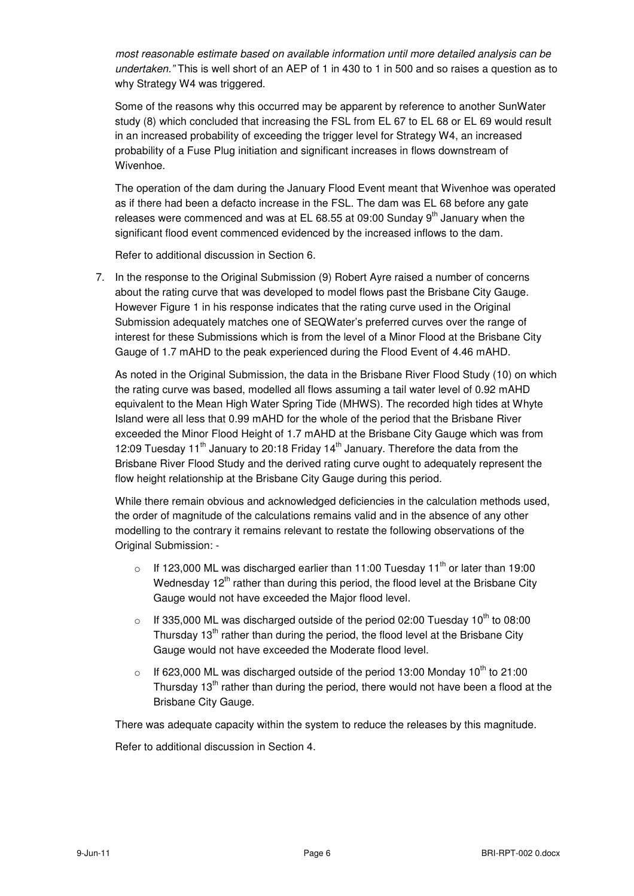most reasonable estimate based on available information until more detailed analysis can be undertaken." This is well short of an AEP of 1 in 430 to 1 in 500 and so raises a question as to why Strategy W4 was triggered.

Some of the reasons why this occurred may be apparent by reference to another SunWater study (8) which concluded that increasing the FSL from EL 67 to EL 68 or EL 69 would result in an increased probability of exceeding the trigger level for Strategy W4, an increased probability of a Fuse Plug initiation and significant increases in flows downstream of Wivenhoe.

The operation of the dam during the January Flood Event meant that Wivenhoe was operated as if there had been a defacto increase in the FSL. The dam was EL 68 before any gate releases were commenced and was at EL 68.55 at 09:00 Sunday  $9<sup>th</sup>$  January when the significant flood event commenced evidenced by the increased inflows to the dam.

Refer to additional discussion in Section 6.

7. In the response to the Original Submission (9) Robert Ayre raised a number of concerns about the rating curve that was developed to model flows past the Brisbane City Gauge. However Figure 1 in his response indicates that the rating curve used in the Original Submission adequately matches one of SEQWater's preferred curves over the range of interest for these Submissions which is from the level of a Minor Flood at the Brisbane City Gauge of 1.7 mAHD to the peak experienced during the Flood Event of 4.46 mAHD.

As noted in the Original Submission, the data in the Brisbane River Flood Study (10) on which the rating curve was based, modelled all flows assuming a tail water level of 0.92 mAHD equivalent to the Mean High Water Spring Tide (MHWS). The recorded high tides at Whyte Island were all less that 0.99 mAHD for the whole of the period that the Brisbane River exceeded the Minor Flood Height of 1.7 mAHD at the Brisbane City Gauge which was from 12:09 Tuesday 11<sup>th</sup> January to 20:18 Friday 14<sup>th</sup> January. Therefore the data from the Brisbane River Flood Study and the derived rating curve ought to adequately represent the flow height relationship at the Brisbane City Gauge during this period.

While there remain obvious and acknowledged deficiencies in the calculation methods used, the order of magnitude of the calculations remains valid and in the absence of any other modelling to the contrary it remains relevant to restate the following observations of the Original Submission: -

- o If 123,000 ML was discharged earlier than 11:00 Tuesday 11<sup>th</sup> or later than 19:00 Wednesday  $12<sup>th</sup>$  rather than during this period, the flood level at the Brisbane City Gauge would not have exceeded the Major flood level.
- o If 335,000 ML was discharged outside of the period 02:00 Tuesday  $10^{th}$  to 08:00 Thursday  $13<sup>th</sup>$  rather than during the period, the flood level at the Brisbane City Gauge would not have exceeded the Moderate flood level.
- o If 623,000 ML was discharged outside of the period 13:00 Monday 10<sup>th</sup> to 21:00 Thursday  $13<sup>th</sup>$  rather than during the period, there would not have been a flood at the Brisbane City Gauge.

There was adequate capacity within the system to reduce the releases by this magnitude. Refer to additional discussion in Section 4.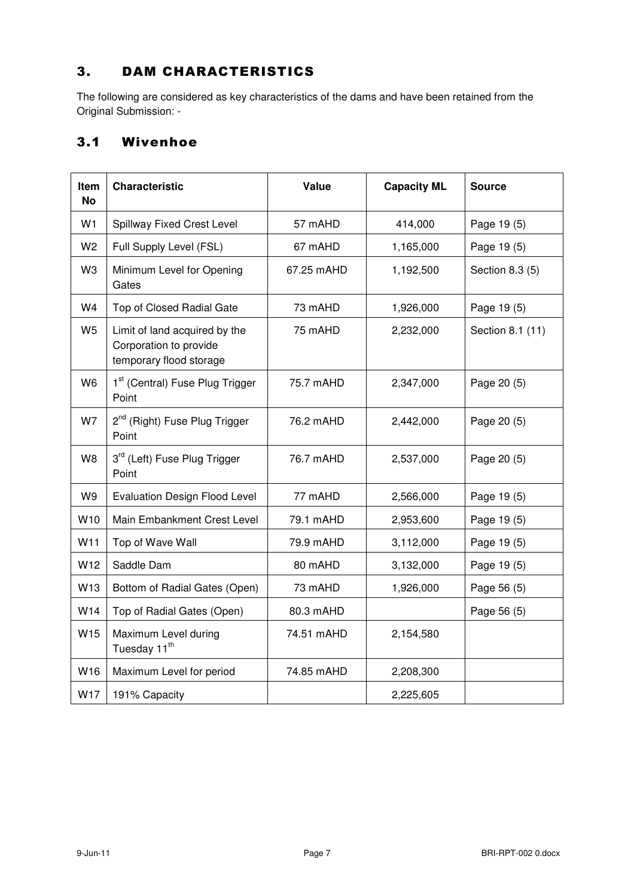## 3. DAM CHARACTERISTICS

The following are considered as key characteristics of the dams and have been retained from the Original Submission: -

#### 3.1 Wivenhoe

| Item<br><b>No</b> | <b>Characteristic</b>                                                              | Value      | <b>Capacity ML</b> | <b>Source</b>    |
|-------------------|------------------------------------------------------------------------------------|------------|--------------------|------------------|
| W1                | Spillway Fixed Crest Level                                                         | 57 mAHD    | 414,000            | Page 19 (5)      |
| W <sub>2</sub>    | Full Supply Level (FSL)                                                            | 67 mAHD    | 1,165,000          | Page 19 (5)      |
| W3                | Minimum Level for Opening<br>Gates                                                 | 67.25 mAHD | 1,192,500          | Section 8.3 (5)  |
| W4                | Top of Closed Radial Gate                                                          | 73 mAHD    | 1,926,000          | Page 19 (5)      |
| W <sub>5</sub>    | Limit of land acquired by the<br>Corporation to provide<br>temporary flood storage | 75 mAHD    | 2,232,000          | Section 8.1 (11) |
| W <sub>6</sub>    | 1 <sup>st</sup> (Central) Fuse Plug Trigger<br>Point                               | 75.7 mAHD  | 2,347,000          | Page 20 (5)      |
| W7                | 2 <sup>nd</sup> (Right) Fuse Plug Trigger<br>Point                                 | 76.2 mAHD  | 2,442,000          | Page 20 (5)      |
| W8                | 3 <sup>rd</sup> (Left) Fuse Plug Trigger<br>Point                                  | 76.7 mAHD  | 2,537,000          | Page 20 (5)      |
| W9                | <b>Evaluation Design Flood Level</b>                                               | 77 mAHD    | 2,566,000          | Page 19 (5)      |
| W10               | Main Embankment Crest Level                                                        | 79.1 mAHD  | 2,953,600          | Page 19 (5)      |
| W11               | Top of Wave Wall                                                                   | 79.9 mAHD  | 3,112,000          | Page 19 (5)      |
| W12               | Saddle Dam                                                                         | 80 mAHD    | 3,132,000          | Page 19 (5)      |
| W13               | Bottom of Radial Gates (Open)                                                      | 73 mAHD    | 1,926,000          | Page 56 (5)      |
| W14               | Top of Radial Gates (Open)                                                         | 80.3 mAHD  |                    | Page 56 (5)      |
| W <sub>15</sub>   | Maximum Level during<br>Tuesday 11 <sup>th</sup>                                   | 74.51 mAHD | 2,154,580          |                  |
| W16               | Maximum Level for period                                                           | 74.85 mAHD | 2,208,300          |                  |
| W17               | 191% Capacity                                                                      |            | 2,225,605          |                  |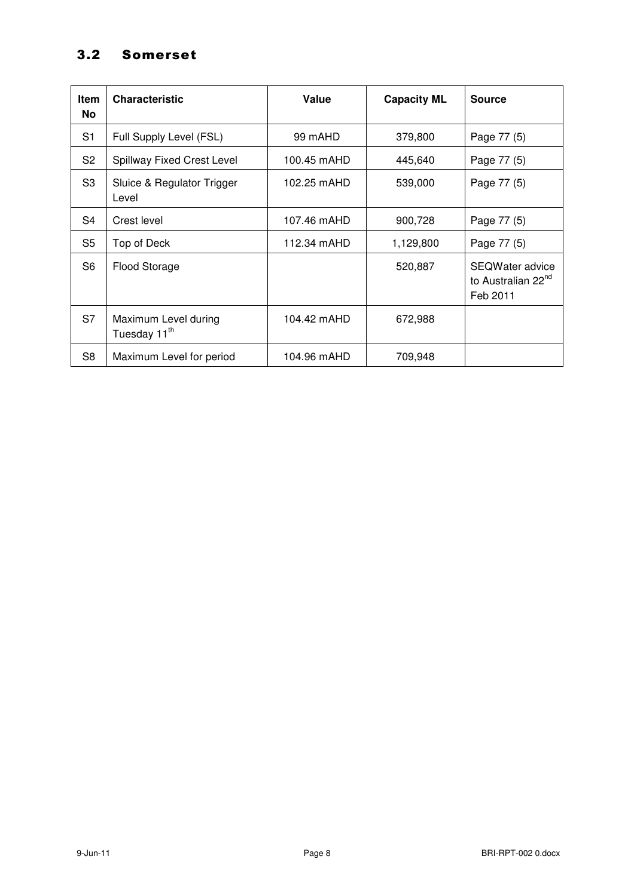## 3.2 Somerset

| <b>Item</b><br><b>No</b> | <b>Characteristic</b>                            | Value       | <b>Capacity ML</b> | <b>Source</b>                                                 |
|--------------------------|--------------------------------------------------|-------------|--------------------|---------------------------------------------------------------|
| S <sub>1</sub>           | Full Supply Level (FSL)                          | 99 mAHD     | 379,800            | Page 77 (5)                                                   |
| S <sub>2</sub>           | <b>Spillway Fixed Crest Level</b>                | 100.45 mAHD | 445,640            | Page 77 (5)                                                   |
| S <sub>3</sub>           | Sluice & Regulator Trigger<br>Level              | 102.25 mAHD | 539,000            | Page 77 (5)                                                   |
| S <sub>4</sub>           | Crest level                                      | 107.46 mAHD | 900,728            | Page 77 (5)                                                   |
| S5                       | Top of Deck                                      | 112.34 mAHD | 1,129,800          | Page 77 (5)                                                   |
| S <sub>6</sub>           | <b>Flood Storage</b>                             |             | 520,887            | SEQWater advice<br>to Australian 22 <sup>nd</sup><br>Feb 2011 |
| S7                       | Maximum Level during<br>Tuesday 11 <sup>th</sup> | 104.42 mAHD | 672,988            |                                                               |
| S <sub>8</sub>           | Maximum Level for period                         | 104.96 mAHD | 709,948            |                                                               |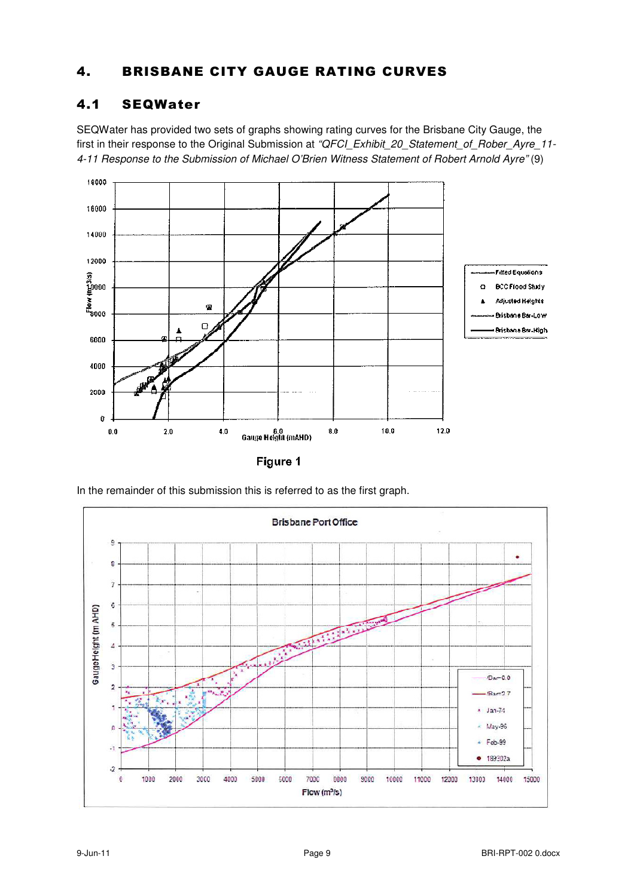#### 4. BRISBANE CITY GAUGE RATING CURVES

#### 4.1 SEQWater

SEQWater has provided two sets of graphs showing rating curves for the Brisbane City Gauge, the first in their response to the Original Submission at "QFCI\_Exhibit\_20\_Statement\_of\_Rober\_Ayre\_11-4-11 Response to the Submission of Michael O'Brien Witness Statement of Robert Arnold Ayre" (9)



In the remainder of this submission this is referred to as the first graph.

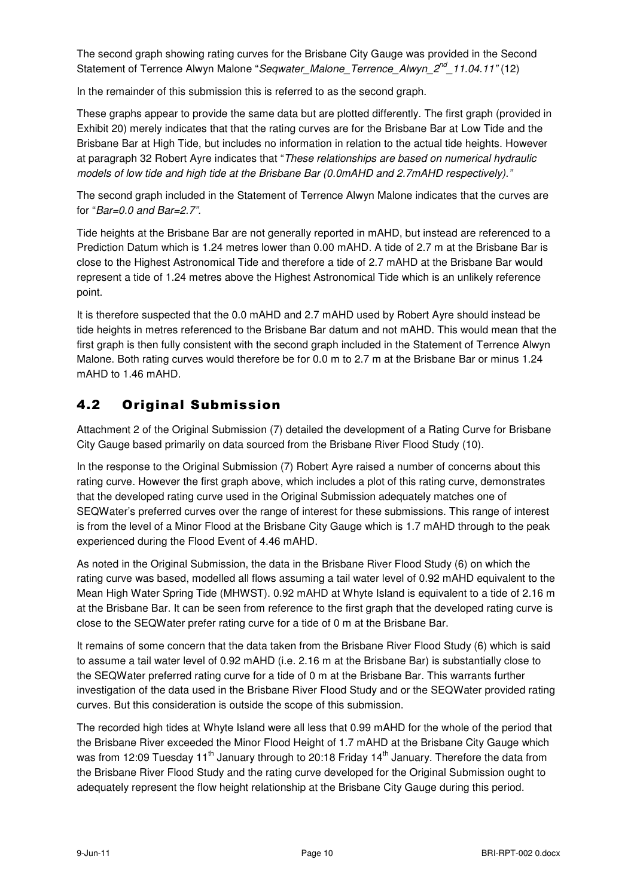The second graph showing rating curves for the Brisbane City Gauge was provided in the Second Statement of Terrence Alwyn Malone "Seqwater\_Malone\_Terrence\_Alwyn\_2<sup>nd</sup>\_11.04.11" (12)

In the remainder of this submission this is referred to as the second graph.

These graphs appear to provide the same data but are plotted differently. The first graph (provided in Exhibit 20) merely indicates that that the rating curves are for the Brisbane Bar at Low Tide and the Brisbane Bar at High Tide, but includes no information in relation to the actual tide heights. However at paragraph 32 Robert Ayre indicates that "These relationships are based on numerical hydraulic models of low tide and high tide at the Brisbane Bar (0.0mAHD and 2.7mAHD respectively)."

The second graph included in the Statement of Terrence Alwyn Malone indicates that the curves are for " $Bar=0.0$  and  $Bar=2.7$ ".

Tide heights at the Brisbane Bar are not generally reported in mAHD, but instead are referenced to a Prediction Datum which is 1.24 metres lower than 0.00 mAHD. A tide of 2.7 m at the Brisbane Bar is close to the Highest Astronomical Tide and therefore a tide of 2.7 mAHD at the Brisbane Bar would represent a tide of 1.24 metres above the Highest Astronomical Tide which is an unlikely reference point.

It is therefore suspected that the 0.0 mAHD and 2.7 mAHD used by Robert Ayre should instead be tide heights in metres referenced to the Brisbane Bar datum and not mAHD. This would mean that the first graph is then fully consistent with the second graph included in the Statement of Terrence Alwyn Malone. Both rating curves would therefore be for 0.0 m to 2.7 m at the Brisbane Bar or minus 1.24 mAHD to 1.46 mAHD.

#### 4.2 Original Submission

Attachment 2 of the Original Submission (7) detailed the development of a Rating Curve for Brisbane City Gauge based primarily on data sourced from the Brisbane River Flood Study (10).

In the response to the Original Submission (7) Robert Ayre raised a number of concerns about this rating curve. However the first graph above, which includes a plot of this rating curve, demonstrates that the developed rating curve used in the Original Submission adequately matches one of SEQWater's preferred curves over the range of interest for these submissions. This range of interest is from the level of a Minor Flood at the Brisbane City Gauge which is 1.7 mAHD through to the peak experienced during the Flood Event of 4.46 mAHD.

As noted in the Original Submission, the data in the Brisbane River Flood Study (6) on which the rating curve was based, modelled all flows assuming a tail water level of 0.92 mAHD equivalent to the Mean High Water Spring Tide (MHWST). 0.92 mAHD at Whyte Island is equivalent to a tide of 2.16 m at the Brisbane Bar. It can be seen from reference to the first graph that the developed rating curve is close to the SEQWater prefer rating curve for a tide of 0 m at the Brisbane Bar.

It remains of some concern that the data taken from the Brisbane River Flood Study (6) which is said to assume a tail water level of 0.92 mAHD (i.e. 2.16 m at the Brisbane Bar) is substantially close to the SEQWater preferred rating curve for a tide of 0 m at the Brisbane Bar. This warrants further investigation of the data used in the Brisbane River Flood Study and or the SEQWater provided rating curves. But this consideration is outside the scope of this submission.

The recorded high tides at Whyte Island were all less that 0.99 mAHD for the whole of the period that the Brisbane River exceeded the Minor Flood Height of 1.7 mAHD at the Brisbane City Gauge which was from 12:09 Tuesday 11<sup>th</sup> January through to 20:18 Friday 14<sup>th</sup> January. Therefore the data from the Brisbane River Flood Study and the rating curve developed for the Original Submission ought to adequately represent the flow height relationship at the Brisbane City Gauge during this period.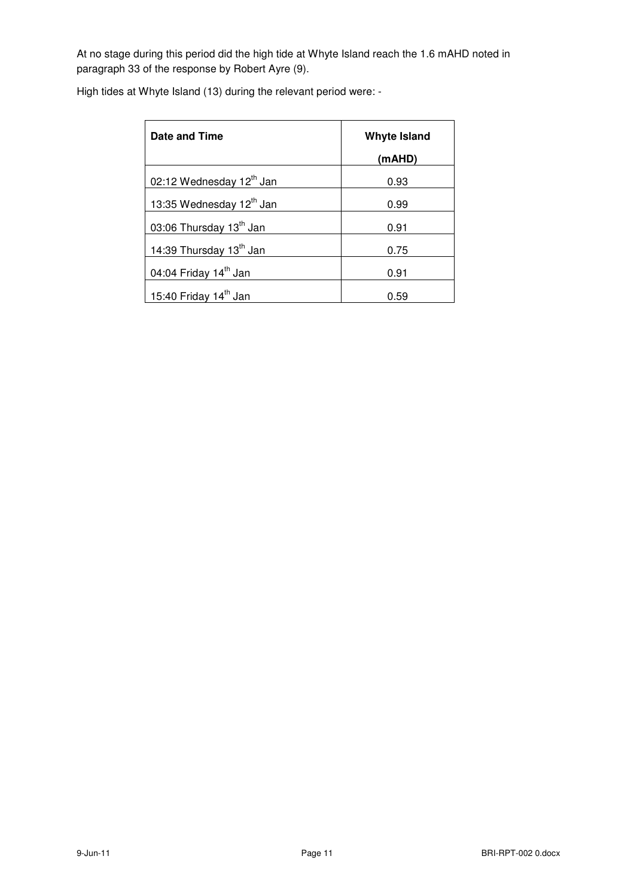At no stage during this period did the high tide at Whyte Island reach the 1.6 mAHD noted in paragraph 33 of the response by Robert Ayre (9).

| High tides at Whyte Island (13) during the relevant period were: - |  |  |  |  |
|--------------------------------------------------------------------|--|--|--|--|
|--------------------------------------------------------------------|--|--|--|--|

| Date and Time                       | <b>Whyte Island</b> |
|-------------------------------------|---------------------|
|                                     | (mAHD)              |
| 02:12 Wednesday 12th Jan            | 0.93                |
| 13:35 Wednesday 12th Jan            | 0.99                |
| 03:06 Thursday 13 <sup>th</sup> Jan | 0.91                |
| 14:39 Thursday 13th Jan             | 0.75                |
| 04:04 Friday 14 <sup>th</sup> Jan   | 0.91                |
| 15:40 Friday 14 <sup>th</sup> Jan   | 0.59                |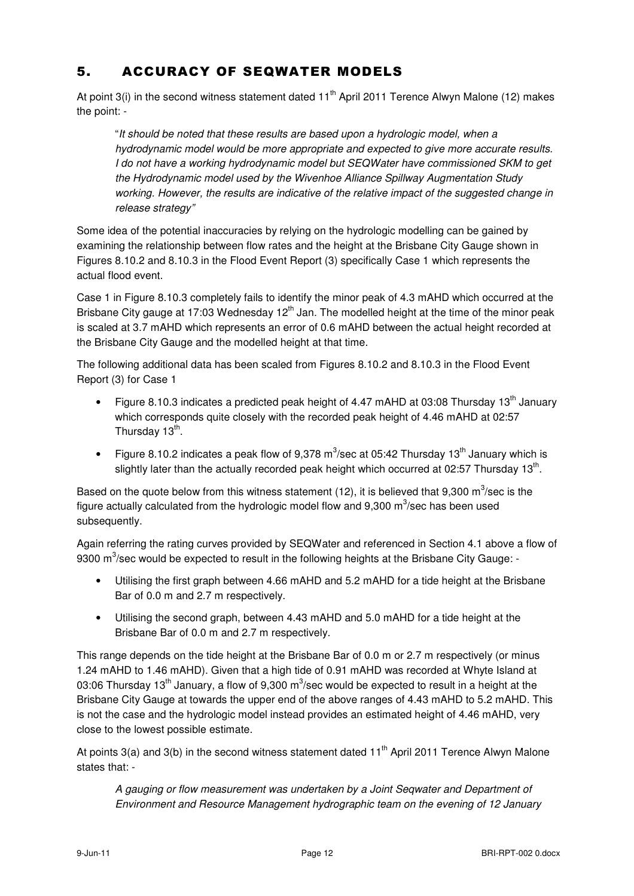## 5. ACCURACY OF SEQWATER MODELS

At point 3(i) in the second witness statement dated  $11<sup>th</sup>$  April 2011 Terence Alwyn Malone (12) makes the point: -

"It should be noted that these results are based upon a hydrologic model, when a hydrodynamic model would be more appropriate and expected to give more accurate results. I do not have a working hydrodynamic model but SEQWater have commissioned SKM to get the Hydrodynamic model used by the Wivenhoe Alliance Spillway Augmentation Study working. However, the results are indicative of the relative impact of the suggested change in release strategy"

Some idea of the potential inaccuracies by relying on the hydrologic modelling can be gained by examining the relationship between flow rates and the height at the Brisbane City Gauge shown in Figures 8.10.2 and 8.10.3 in the Flood Event Report (3) specifically Case 1 which represents the actual flood event.

Case 1 in Figure 8.10.3 completely fails to identify the minor peak of 4.3 mAHD which occurred at the Brisbane City gauge at 17:03 Wednesday  $12<sup>th</sup>$  Jan. The modelled height at the time of the minor peak is scaled at 3.7 mAHD which represents an error of 0.6 mAHD between the actual height recorded at the Brisbane City Gauge and the modelled height at that time.

The following additional data has been scaled from Figures 8.10.2 and 8.10.3 in the Flood Event Report (3) for Case 1

- Figure 8.10.3 indicates a predicted peak height of 4.47 mAHD at 03:08 Thursday 13<sup>th</sup> January which corresponds quite closely with the recorded peak height of 4.46 mAHD at 02:57 Thursday 13<sup>th</sup>.
- Figure 8.10.2 indicates a peak flow of 9,378 m<sup>3</sup>/sec at 05:42 Thursday 13<sup>th</sup> January which is slightly later than the actually recorded peak height which occurred at 02:57 Thursday 13<sup>th</sup>.

Based on the quote below from this witness statement (12), it is believed that 9,300 m<sup>3</sup>/sec is the figure actually calculated from the hydrologic model flow and 9,300  $\text{m}^3\text{/sec}$  has been used subsequently.

Again referring the rating curves provided by SEQWater and referenced in Section 4.1 above a flow of 9300 m<sup>3</sup>/sec would be expected to result in the following heights at the Brisbane City Gauge: -

- Utilising the first graph between 4.66 mAHD and 5.2 mAHD for a tide height at the Brisbane Bar of 0.0 m and 2.7 m respectively.
- Utilising the second graph, between 4.43 mAHD and 5.0 mAHD for a tide height at the Brisbane Bar of 0.0 m and 2.7 m respectively.

This range depends on the tide height at the Brisbane Bar of 0.0 m or 2.7 m respectively (or minus 1.24 mAHD to 1.46 mAHD). Given that a high tide of 0.91 mAHD was recorded at Whyte Island at 03:06 Thursday 13<sup>th</sup> January, a flow of 9,300 m<sup>3</sup>/sec would be expected to result in a height at the Brisbane City Gauge at towards the upper end of the above ranges of 4.43 mAHD to 5.2 mAHD. This is not the case and the hydrologic model instead provides an estimated height of 4.46 mAHD, very close to the lowest possible estimate.

At points 3(a) and 3(b) in the second witness statement dated 11<sup>th</sup> April 2011 Terence Alwyn Malone states that: -

A gauging or flow measurement was undertaken by a Joint Seqwater and Department of Environment and Resource Management hydrographic team on the evening of 12 January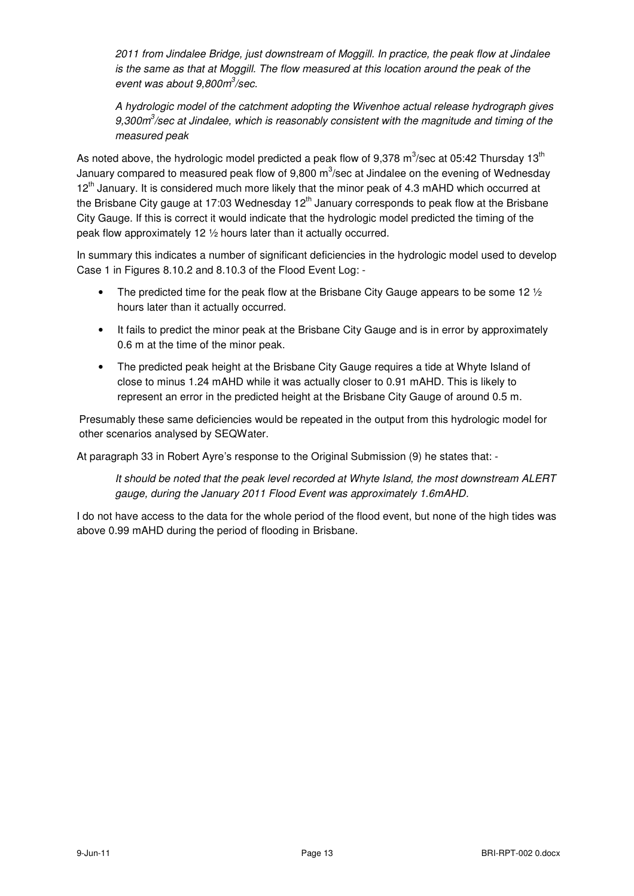2011 from Jindalee Bridge, just downstream of Moggill. In practice, the peak flow at Jindalee is the same as that at Moggill. The flow measured at this location around the peak of the event was about 9,800m<sup>3</sup>/sec.

A hydrologic model of the catchment adopting the Wivenhoe actual release hydrograph gives 9,300 $m^3$ /sec at Jindalee, which is reasonably consistent with the magnitude and timing of the measured peak

As noted above, the hydrologic model predicted a peak flow of 9,378 m $^3$ /sec at 05:42 Thursday 13 $^{\rm th}$ January compared to measured peak flow of 9,800 m<sup>3</sup>/sec at Jindalee on the evening of Wednesday 12<sup>th</sup> January. It is considered much more likely that the minor peak of 4.3 mAHD which occurred at the Brisbane City gauge at 17:03 Wednesday 12<sup>th</sup> January corresponds to peak flow at the Brisbane City Gauge. If this is correct it would indicate that the hydrologic model predicted the timing of the peak flow approximately 12 ½ hours later than it actually occurred.

In summary this indicates a number of significant deficiencies in the hydrologic model used to develop Case 1 in Figures 8.10.2 and 8.10.3 of the Flood Event Log: -

- The predicted time for the peak flow at the Brisbane City Gauge appears to be some 12  $\frac{1}{2}$ hours later than it actually occurred.
- It fails to predict the minor peak at the Brisbane City Gauge and is in error by approximately 0.6 m at the time of the minor peak.
- The predicted peak height at the Brisbane City Gauge requires a tide at Whyte Island of close to minus 1.24 mAHD while it was actually closer to 0.91 mAHD. This is likely to represent an error in the predicted height at the Brisbane City Gauge of around 0.5 m.

Presumably these same deficiencies would be repeated in the output from this hydrologic model for other scenarios analysed by SEQWater.

At paragraph 33 in Robert Ayre's response to the Original Submission (9) he states that: -

It should be noted that the peak level recorded at Whyte Island, the most downstream ALERT gauge, during the January 2011 Flood Event was approximately 1.6mAHD.

I do not have access to the data for the whole period of the flood event, but none of the high tides was above 0.99 mAHD during the period of flooding in Brisbane.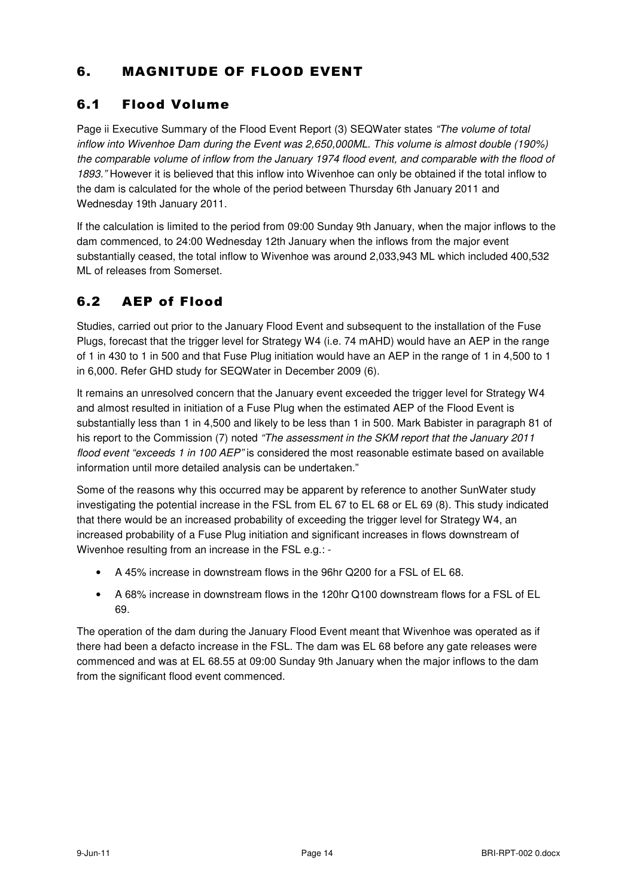## 6. MAGNITUDE OF FLOOD EVENT

## 6.1 Flood Volume

Page ii Executive Summary of the Flood Event Report (3) SEQWater states "The volume of total inflow into Wivenhoe Dam during the Event was 2,650,000ML. This volume is almost double (190%) the comparable volume of inflow from the January 1974 flood event, and comparable with the flood of 1893." However it is believed that this inflow into Wivenhoe can only be obtained if the total inflow to the dam is calculated for the whole of the period between Thursday 6th January 2011 and Wednesday 19th January 2011.

If the calculation is limited to the period from 09:00 Sunday 9th January, when the major inflows to the dam commenced, to 24:00 Wednesday 12th January when the inflows from the major event substantially ceased, the total inflow to Wivenhoe was around 2,033,943 ML which included 400,532 ML of releases from Somerset.

## 6.2 AEP of Flood

Studies, carried out prior to the January Flood Event and subsequent to the installation of the Fuse Plugs, forecast that the trigger level for Strategy W4 (i.e. 74 mAHD) would have an AEP in the range of 1 in 430 to 1 in 500 and that Fuse Plug initiation would have an AEP in the range of 1 in 4,500 to 1 in 6,000. Refer GHD study for SEQWater in December 2009 (6).

It remains an unresolved concern that the January event exceeded the trigger level for Strategy W4 and almost resulted in initiation of a Fuse Plug when the estimated AEP of the Flood Event is substantially less than 1 in 4,500 and likely to be less than 1 in 500. Mark Babister in paragraph 81 of his report to the Commission (7) noted "The assessment in the SKM report that the January 2011 flood event "exceeds 1 in 100 AEP" is considered the most reasonable estimate based on available information until more detailed analysis can be undertaken."

Some of the reasons why this occurred may be apparent by reference to another SunWater study investigating the potential increase in the FSL from EL 67 to EL 68 or EL 69 (8). This study indicated that there would be an increased probability of exceeding the trigger level for Strategy W4, an increased probability of a Fuse Plug initiation and significant increases in flows downstream of Wivenhoe resulting from an increase in the FSL e.g.: -

- A 45% increase in downstream flows in the 96hr Q200 for a FSL of EL 68.
- A 68% increase in downstream flows in the 120hr Q100 downstream flows for a FSL of EL 69.

The operation of the dam during the January Flood Event meant that Wivenhoe was operated as if there had been a defacto increase in the FSL. The dam was EL 68 before any gate releases were commenced and was at EL 68.55 at 09:00 Sunday 9th January when the major inflows to the dam from the significant flood event commenced.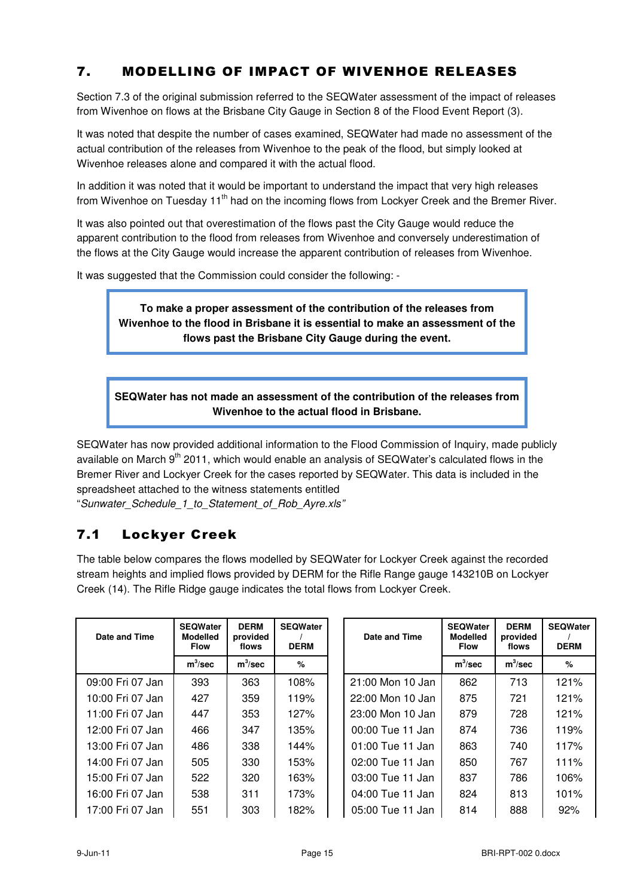## 7. MODELLING OF IMPACT OF WIVENHOE RELEASES

Section 7.3 of the original submission referred to the SEQWater assessment of the impact of releases from Wivenhoe on flows at the Brisbane City Gauge in Section 8 of the Flood Event Report (3).

It was noted that despite the number of cases examined, SEQWater had made no assessment of the actual contribution of the releases from Wivenhoe to the peak of the flood, but simply looked at Wivenhoe releases alone and compared it with the actual flood.

In addition it was noted that it would be important to understand the impact that very high releases from Wivenhoe on Tuesday 11<sup>th</sup> had on the incoming flows from Lockyer Creek and the Bremer River.

It was also pointed out that overestimation of the flows past the City Gauge would reduce the apparent contribution to the flood from releases from Wivenhoe and conversely underestimation of the flows at the City Gauge would increase the apparent contribution of releases from Wivenhoe.

It was suggested that the Commission could consider the following: -

**To make a proper assessment of the contribution of the releases from Wivenhoe to the flood in Brisbane it is essential to make an assessment of the flows past the Brisbane City Gauge during the event.**

**SEQWater has not made an assessment of the contribution of the releases from Wivenhoe to the actual flood in Brisbane.**

SEQWater has now provided additional information to the Flood Commission of Inquiry, made publicly available on March 9<sup>th</sup> 2011, which would enable an analysis of SEQWater's calculated flows in the Bremer River and Lockyer Creek for the cases reported by SEQWater. This data is included in the spreadsheet attached to the witness statements entitled "Sunwater Schedule 1 to Statement of Rob Ayre.xls"

#### 7.1 Lockyer Creek

The table below compares the flows modelled by SEQWater for Lockyer Creek against the recorded stream heights and implied flows provided by DERM for the Rifle Range gauge 143210B on Lockyer Creek (14). The Rifle Ridge gauge indicates the total flows from Lockyer Creek.

| Date and Time    | <b>SEQWater</b><br><b>Modelled</b><br><b>Flow</b> | <b>DERM</b><br>provided<br>flows | <b>SEQWater</b><br><b>DERM</b> | Date and Time    | <b>SEQWater</b><br><b>Modelled</b><br><b>Flow</b> | <b>DERM</b><br>provided<br>flows | <b>SEQWater</b><br><b>DERM</b> |
|------------------|---------------------------------------------------|----------------------------------|--------------------------------|------------------|---------------------------------------------------|----------------------------------|--------------------------------|
|                  | $m^3$ /sec                                        | $m^3$ /sec                       | %                              |                  | $m^3$ /sec                                        | $m^3$ /sec                       | %                              |
| 09:00 Fri 07 Jan | 393                                               | 363                              | 108%                           | 21:00 Mon 10 Jan | 862                                               | 713                              | 121%                           |
| 10:00 Fri 07 Jan | 427                                               | 359                              | 119%                           | 22:00 Mon 10 Jan | 875                                               | 721                              | 121%                           |
| 11:00 Fri 07 Jan | 447                                               | 353                              | 127%                           | 23:00 Mon 10 Jan | 879                                               | 728                              | 121%                           |
| 12:00 Fri 07 Jan | 466                                               | 347                              | 135%                           | 00:00 Tue 11 Jan | 874                                               | 736                              | 119%                           |
| 13:00 Fri 07 Jan | 486                                               | 338                              | 144%                           | 01:00 Tue 11 Jan | 863                                               | 740                              | 117%                           |
| 14:00 Fri 07 Jan | 505                                               | 330                              | 153%                           | 02:00 Tue 11 Jan | 850                                               | 767                              | 111%                           |
| 15:00 Fri 07 Jan | 522                                               | 320                              | 163%                           | 03:00 Tue 11 Jan | 837                                               | 786                              | 106%                           |
| 16:00 Fri 07 Jan | 538                                               | 311                              | 173%                           | 04:00 Tue 11 Jan | 824                                               | 813                              | 101%                           |
| 17:00 Fri 07 Jan | 551                                               | 303                              | 182%                           | 05:00 Tue 11 Jan | 814                                               | 888                              | 92%                            |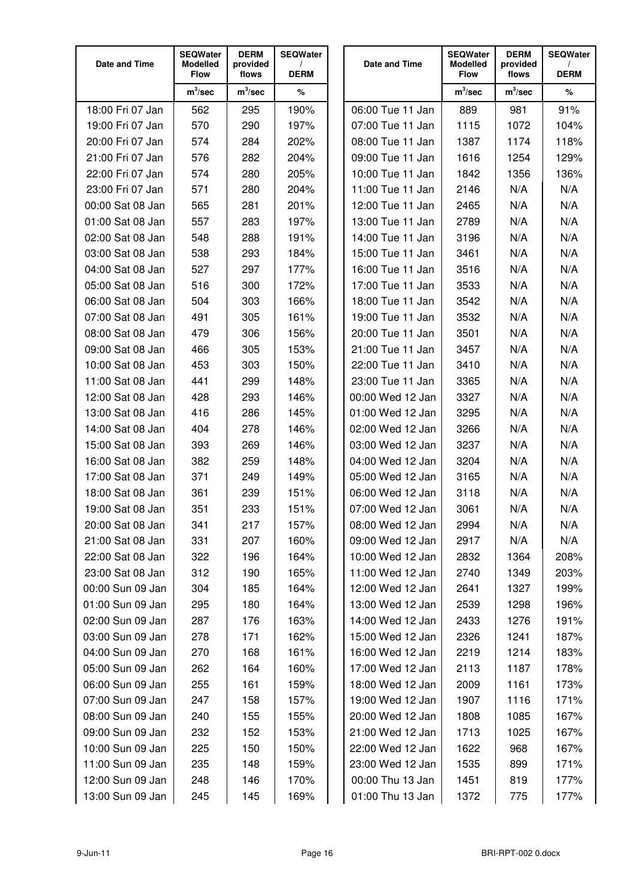| Date and Time                        | <b>SEQWater</b><br><b>Modelled</b><br><b>Flow</b> | <b>DERM</b><br>provided<br>flows | <b>SEQWater</b><br><b>DERM</b> | Date and Time                        | <b>SEQWater</b><br><b>Modelled</b><br><b>Flow</b> | <b>DERM</b><br>provided<br>flows | <b>SEQWater</b><br><b>DERM</b> |
|--------------------------------------|---------------------------------------------------|----------------------------------|--------------------------------|--------------------------------------|---------------------------------------------------|----------------------------------|--------------------------------|
|                                      | $m^3$ /sec                                        | $m^3$ /sec                       | $\%$                           |                                      | $m^3$ /sec                                        | $m^3$ /sec                       | %                              |
| 18:00 Fri 07 Jan                     | 562                                               | 295                              | 190%                           | 06:00 Tue 11 Jan                     | 889                                               | 981                              | 91%                            |
| 19:00 Fri 07 Jan                     | 570                                               | 290                              | 197%                           | 07:00 Tue 11 Jan                     | 1115                                              | 1072                             | 104%                           |
| 20:00 Fri 07 Jan                     | 574                                               | 284                              | 202%                           | 08:00 Tue 11 Jan                     | 1387                                              | 1174                             | 118%                           |
| 21:00 Fri 07 Jan                     | 576                                               | 282                              | 204%                           | 09:00 Tue 11 Jan                     | 1616                                              | 1254                             | 129%                           |
| 22:00 Fri 07 Jan                     | 574                                               | 280                              | 205%                           | 10:00 Tue 11 Jan                     | 1842                                              | 1356                             | 136%                           |
| 23:00 Fri 07 Jan                     | 571                                               | 280                              | 204%                           | 11:00 Tue 11 Jan                     | 2146                                              | N/A                              | N/A                            |
| 00:00 Sat 08 Jan                     | 565                                               | 281                              | 201%                           | 12:00 Tue 11 Jan                     | 2465                                              | N/A                              | N/A                            |
| 01:00 Sat 08 Jan                     | 557                                               | 283                              | 197%                           | 13:00 Tue 11 Jan                     | 2789                                              | N/A                              | N/A                            |
| 02:00 Sat 08 Jan                     | 548                                               | 288                              | 191%                           | 14:00 Tue 11 Jan                     | 3196                                              | N/A                              | N/A                            |
| 03:00 Sat 08 Jan                     | 538                                               | 293                              | 184%                           | 15:00 Tue 11 Jan                     | 3461                                              | N/A                              | N/A                            |
| 04:00 Sat 08 Jan                     | 527                                               | 297                              | 177%                           | 16:00 Tue 11 Jan                     | 3516                                              | N/A                              | N/A                            |
| 05:00 Sat 08 Jan                     | 516                                               | 300                              | 172%                           | 17:00 Tue 11 Jan                     | 3533                                              | N/A                              | N/A                            |
| 06:00 Sat 08 Jan                     | 504                                               | 303                              | 166%                           | 18:00 Tue 11 Jan                     | 3542                                              | N/A                              | N/A                            |
| 07:00 Sat 08 Jan                     | 491                                               | 305                              | 161%                           | 19:00 Tue 11 Jan                     | 3532                                              | N/A                              | N/A                            |
| 08:00 Sat 08 Jan                     | 479                                               | 306                              | 156%                           | 20:00 Tue 11 Jan                     | 3501                                              | N/A                              | N/A                            |
| 09:00 Sat 08 Jan                     | 466                                               | 305                              | 153%                           | 21:00 Tue 11 Jan                     | 3457                                              | N/A                              | N/A                            |
| 10:00 Sat 08 Jan                     | 453                                               | 303                              | 150%                           | 22:00 Tue 11 Jan                     | 3410                                              | N/A                              | N/A                            |
| 11:00 Sat 08 Jan                     | 441                                               | 299                              | 148%                           | 23:00 Tue 11 Jan                     | 3365                                              | N/A                              | N/A                            |
| 12:00 Sat 08 Jan                     | 428                                               | 293                              | 146%                           | 00:00 Wed 12 Jan                     | 3327                                              | N/A                              | N/A                            |
| 13:00 Sat 08 Jan<br>14:00 Sat 08 Jan | 416                                               | 286                              | 145%                           | 01:00 Wed 12 Jan                     | 3295                                              | N/A                              | N/A<br>N/A                     |
| 15:00 Sat 08 Jan                     | 404                                               | 278<br>269                       | 146%<br>146%                   | 02:00 Wed 12 Jan<br>03:00 Wed 12 Jan | 3266                                              | N/A                              | N/A                            |
| 16:00 Sat 08 Jan                     | 393<br>382                                        | 259                              | 148%                           | 04:00 Wed 12 Jan                     | 3237<br>3204                                      | N/A<br>N/A                       | N/A                            |
| 17:00 Sat 08 Jan                     | 371                                               | 249                              | 149%                           | 05:00 Wed 12 Jan                     | 3165                                              | N/A                              | N/A                            |
| 18:00 Sat 08 Jan                     | 361                                               | 239                              | 151%                           | 06:00 Wed 12 Jan                     | 3118                                              | N/A                              | N/A                            |
| 19:00 Sat 08 Jan                     | 351                                               | 233                              | 151%                           | 07:00 Wed 12 Jan                     | 3061                                              | N/A                              | N/A                            |
| 20:00 Sat 08 Jan                     | 341                                               | 217                              | 157%                           | 08:00 Wed 12 Jan                     | 2994                                              | N/A                              | N/A                            |
| 21:00 Sat 08 Jan                     | 331                                               | 207                              | 160%                           | 09:00 Wed 12 Jan                     | 2917                                              | N/A                              | N/A                            |
| 22:00 Sat 08 Jan                     | 322                                               | 196                              | 164%                           | 10:00 Wed 12 Jan                     | 2832                                              | 1364                             | 208%                           |
| 23:00 Sat 08 Jan                     | 312                                               | 190                              | 165%                           | 11:00 Wed 12 Jan                     | 2740                                              | 1349                             | 203%                           |
| 00:00 Sun 09 Jan                     | 304                                               | 185                              | 164%                           | 12:00 Wed 12 Jan                     | 2641                                              | 1327                             | 199%                           |
| 01:00 Sun 09 Jan                     | 295                                               | 180                              | 164%                           | 13:00 Wed 12 Jan                     | 2539                                              | 1298                             | 196%                           |
| 02:00 Sun 09 Jan                     | 287                                               | 176                              | 163%                           | 14:00 Wed 12 Jan                     | 2433                                              | 1276                             | 191%                           |
| 03:00 Sun 09 Jan                     | 278                                               | 171                              | 162%                           | 15:00 Wed 12 Jan                     | 2326                                              | 1241                             | 187%                           |
| 04:00 Sun 09 Jan                     | 270                                               | 168                              | 161%                           | 16:00 Wed 12 Jan                     | 2219                                              | 1214                             | 183%                           |
| 05:00 Sun 09 Jan                     | 262                                               | 164                              | 160%                           | 17:00 Wed 12 Jan                     | 2113                                              | 1187                             | 178%                           |
| 06:00 Sun 09 Jan                     | 255                                               | 161                              | 159%                           | 18:00 Wed 12 Jan                     | 2009                                              | 1161                             | 173%                           |
| 07:00 Sun 09 Jan                     | 247                                               | 158                              | 157%                           | 19:00 Wed 12 Jan                     | 1907                                              | 1116                             | 171%                           |
| 08:00 Sun 09 Jan                     | 240                                               | 155                              | 155%                           | 20:00 Wed 12 Jan                     | 1808                                              | 1085                             | 167%                           |
| 09:00 Sun 09 Jan                     | 232                                               | 152                              | 153%                           | 21:00 Wed 12 Jan                     | 1713                                              | 1025                             | 167%                           |
| 10:00 Sun 09 Jan                     | 225                                               | 150                              | 150%                           | 22:00 Wed 12 Jan                     | 1622                                              | 968                              | 167%                           |
| 11:00 Sun 09 Jan                     | 235                                               | 148                              | 159%                           | 23:00 Wed 12 Jan                     | 1535                                              | 899                              | 171%                           |
| 12:00 Sun 09 Jan                     | 248                                               | 146                              | 170%                           | 00:00 Thu 13 Jan                     | 1451                                              | 819                              | 177%                           |
| 13:00 Sun 09 Jan                     | 245                                               | 145                              | 169%                           | 01:00 Thu 13 Jan                     | 1372                                              | 775                              | 177%                           |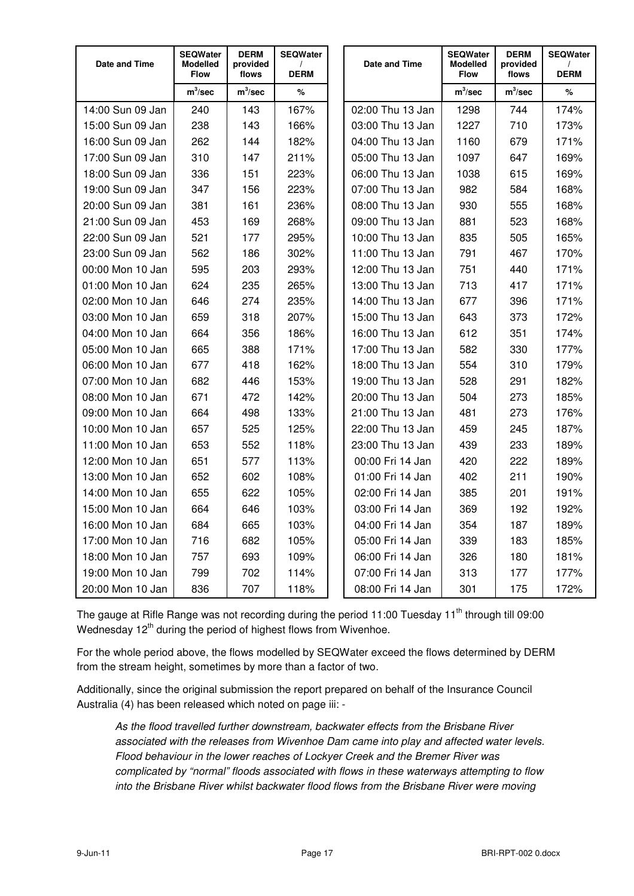| Date and Time    | <b>SEQWater</b><br><b>Modelled</b><br><b>Flow</b> | <b>DERM</b><br>provided<br>flows | <b>SEQWater</b><br><b>DERM</b> | Date and Time    | <b>SEQWater</b><br><b>Modelled</b><br><b>Flow</b> | <b>DERM</b><br>provided<br>flows | <b>SEQWater</b><br><b>DERM</b> |
|------------------|---------------------------------------------------|----------------------------------|--------------------------------|------------------|---------------------------------------------------|----------------------------------|--------------------------------|
|                  | $m^3$ /sec                                        | $m^3$ /sec                       | %                              |                  | $m^3$ /sec                                        | $m^3$ /sec                       | $\%$                           |
| 14:00 Sun 09 Jan | 240                                               | 143                              | 167%                           | 02:00 Thu 13 Jan | 1298                                              | 744                              | 174%                           |
| 15:00 Sun 09 Jan | 238                                               | 143                              | 166%                           | 03:00 Thu 13 Jan | 1227                                              | 710                              | 173%                           |
| 16:00 Sun 09 Jan | 262                                               | 144                              | 182%                           | 04:00 Thu 13 Jan | 1160                                              | 679                              | 171%                           |
| 17:00 Sun 09 Jan | 310                                               | 147                              | 211%                           | 05:00 Thu 13 Jan | 1097                                              | 647                              | 169%                           |
| 18:00 Sun 09 Jan | 336                                               | 151                              | 223%                           | 06:00 Thu 13 Jan | 1038                                              | 615                              | 169%                           |
| 19:00 Sun 09 Jan | 347                                               | 156                              | 223%                           | 07:00 Thu 13 Jan | 982                                               | 584                              | 168%                           |
| 20:00 Sun 09 Jan | 381                                               | 161                              | 236%                           | 08:00 Thu 13 Jan | 930                                               | 555                              | 168%                           |
| 21:00 Sun 09 Jan | 453                                               | 169                              | 268%                           | 09:00 Thu 13 Jan | 881                                               | 523                              | 168%                           |
| 22:00 Sun 09 Jan | 521                                               | 177                              | 295%                           | 10:00 Thu 13 Jan | 835                                               | 505                              | 165%                           |
| 23:00 Sun 09 Jan | 562                                               | 186                              | 302%                           | 11:00 Thu 13 Jan | 791                                               | 467                              | 170%                           |
| 00:00 Mon 10 Jan | 595                                               | 203                              | 293%                           | 12:00 Thu 13 Jan | 751                                               | 440                              | 171%                           |
| 01:00 Mon 10 Jan | 624                                               | 235                              | 265%                           | 13:00 Thu 13 Jan | 713                                               | 417                              | 171%                           |
| 02:00 Mon 10 Jan | 646                                               | 274                              | 235%                           | 14:00 Thu 13 Jan | 677                                               | 396                              | 171%                           |
| 03:00 Mon 10 Jan | 659                                               | 318                              | 207%                           | 15:00 Thu 13 Jan | 643                                               | 373                              | 172%                           |
| 04:00 Mon 10 Jan | 664                                               | 356                              | 186%                           | 16:00 Thu 13 Jan | 612                                               | 351                              | 174%                           |
| 05:00 Mon 10 Jan | 665                                               | 388                              | 171%                           | 17:00 Thu 13 Jan | 582                                               | 330                              | 177%                           |
| 06:00 Mon 10 Jan | 677                                               | 418                              | 162%                           | 18:00 Thu 13 Jan | 554                                               | 310                              | 179%                           |
| 07:00 Mon 10 Jan | 682                                               | 446                              | 153%                           | 19:00 Thu 13 Jan | 528                                               | 291                              | 182%                           |
| 08:00 Mon 10 Jan | 671                                               | 472                              | 142%                           | 20:00 Thu 13 Jan | 504                                               | 273                              | 185%                           |
| 09:00 Mon 10 Jan | 664                                               | 498                              | 133%                           | 21:00 Thu 13 Jan | 481                                               | 273                              | 176%                           |
| 10:00 Mon 10 Jan | 657                                               | 525                              | 125%                           | 22:00 Thu 13 Jan | 459                                               | 245                              | 187%                           |
| 11:00 Mon 10 Jan | 653                                               | 552                              | 118%                           | 23:00 Thu 13 Jan | 439                                               | 233                              | 189%                           |
| 12:00 Mon 10 Jan | 651                                               | 577                              | 113%                           | 00:00 Fri 14 Jan | 420                                               | 222                              | 189%                           |
| 13:00 Mon 10 Jan | 652                                               | 602                              | 108%                           | 01:00 Fri 14 Jan | 402                                               | 211                              | 190%                           |
| 14:00 Mon 10 Jan | 655                                               | 622                              | 105%                           | 02:00 Fri 14 Jan | 385                                               | 201                              | 191%                           |
| 15:00 Mon 10 Jan | 664                                               | 646                              | 103%                           | 03:00 Fri 14 Jan | 369                                               | 192                              | 192%                           |
| 16:00 Mon 10 Jan | 684                                               | 665                              | 103%                           | 04:00 Fri 14 Jan | 354                                               | 187                              | 189%                           |
| 17:00 Mon 10 Jan | 716                                               | 682                              | 105%                           | 05:00 Fri 14 Jan | 339                                               | 183                              | 185%                           |
| 18:00 Mon 10 Jan | 757                                               | 693                              | 109%                           | 06:00 Fri 14 Jan | 326                                               | 180                              | 181%                           |
| 19:00 Mon 10 Jan | 799                                               | 702                              | 114%                           | 07:00 Fri 14 Jan | 313                                               | 177                              | 177%                           |
| 20:00 Mon 10 Jan | 836                                               | 707                              | 118%                           | 08:00 Fri 14 Jan | 301                                               | 175                              | 172%                           |

The gauge at Rifle Range was not recording during the period 11:00 Tuesday 11<sup>th</sup> through till 09:00 Wednesday  $12<sup>th</sup>$  during the period of highest flows from Wivenhoe.

For the whole period above, the flows modelled by SEQWater exceed the flows determined by DERM from the stream height, sometimes by more than a factor of two.

Additionally, since the original submission the report prepared on behalf of the Insurance Council Australia (4) has been released which noted on page iii: -

As the flood travelled further downstream, backwater effects from the Brisbane River associated with the releases from Wivenhoe Dam came into play and affected water levels. Flood behaviour in the lower reaches of Lockyer Creek and the Bremer River was complicated by "normal" floods associated with flows in these waterways attempting to flow into the Brisbane River whilst backwater flood flows from the Brisbane River were moving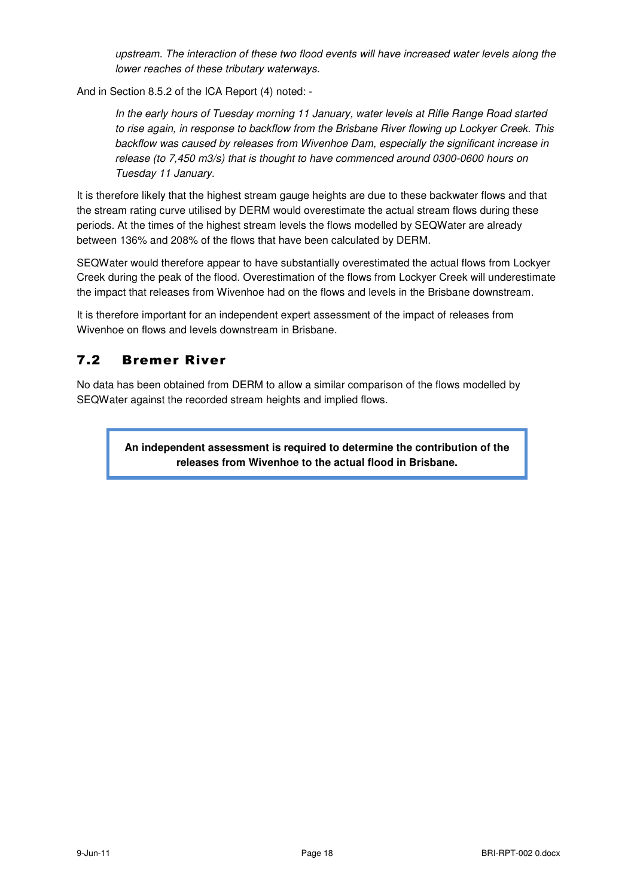upstream. The interaction of these two flood events will have increased water levels along the lower reaches of these tributary waterways.

And in Section 8.5.2 of the ICA Report (4) noted: -

In the early hours of Tuesday morning 11 January, water levels at Rifle Range Road started to rise again, in response to backflow from the Brisbane River flowing up Lockyer Creek. This backflow was caused by releases from Wivenhoe Dam, especially the significant increase in release (to 7,450 m3/s) that is thought to have commenced around 0300-0600 hours on Tuesday 11 January.

It is therefore likely that the highest stream gauge heights are due to these backwater flows and that the stream rating curve utilised by DERM would overestimate the actual stream flows during these periods. At the times of the highest stream levels the flows modelled by SEQWater are already between 136% and 208% of the flows that have been calculated by DERM.

SEQWater would therefore appear to have substantially overestimated the actual flows from Lockyer Creek during the peak of the flood. Overestimation of the flows from Lockyer Creek will underestimate the impact that releases from Wivenhoe had on the flows and levels in the Brisbane downstream.

It is therefore important for an independent expert assessment of the impact of releases from Wivenhoe on flows and levels downstream in Brisbane.

#### 7.2 Bremer River

No data has been obtained from DERM to allow a similar comparison of the flows modelled by SEQWater against the recorded stream heights and implied flows.

> **An independent assessment is required to determine the contribution of the releases from Wivenhoe to the actual flood in Brisbane.**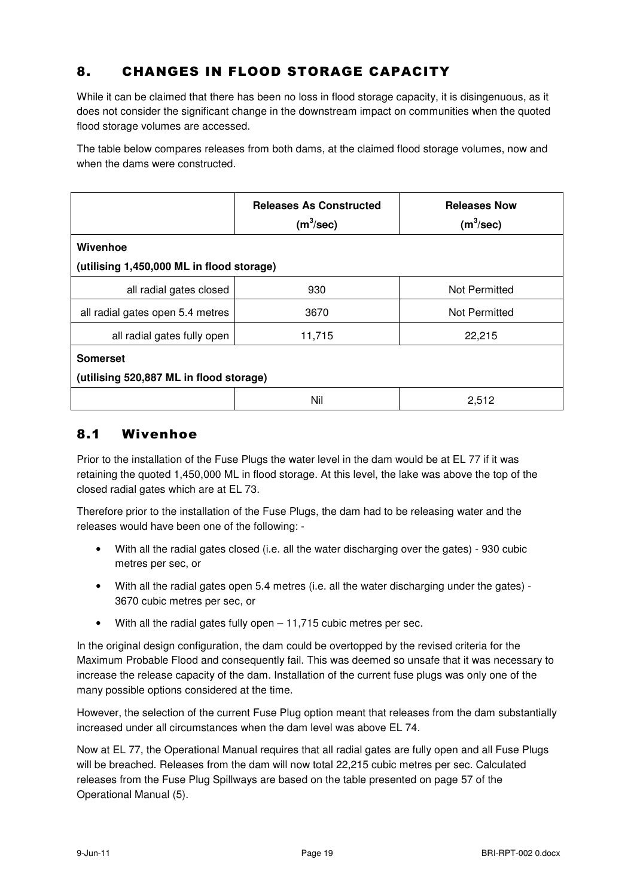## 8. CHANGES IN FLOOD STORAGE CAPACITY

While it can be claimed that there has been no loss in flood storage capacity, it is disingenuous, as it does not consider the significant change in the downstream impact on communities when the quoted flood storage volumes are accessed.

The table below compares releases from both dams, at the claimed flood storage volumes, now and when the dams were constructed.

|                                           | <b>Releases As Constructed</b><br>$(m^3/sec)$ | <b>Releases Now</b><br>$(m^3/sec)$ |  |  |  |
|-------------------------------------------|-----------------------------------------------|------------------------------------|--|--|--|
| Wivenhoe                                  |                                               |                                    |  |  |  |
| (utilising 1,450,000 ML in flood storage) |                                               |                                    |  |  |  |
| all radial gates closed                   | 930                                           | Not Permitted                      |  |  |  |
| all radial gates open 5.4 metres          | 3670                                          | Not Permitted                      |  |  |  |
| all radial gates fully open               | 11,715                                        | 22,215                             |  |  |  |
| <b>Somerset</b>                           |                                               |                                    |  |  |  |
| (utilising 520,887 ML in flood storage)   |                                               |                                    |  |  |  |
|                                           | Nil                                           | 2,512                              |  |  |  |

#### 8.1 Wivenhoe

Prior to the installation of the Fuse Plugs the water level in the dam would be at EL 77 if it was retaining the quoted 1,450,000 ML in flood storage. At this level, the lake was above the top of the closed radial gates which are at EL 73.

Therefore prior to the installation of the Fuse Plugs, the dam had to be releasing water and the releases would have been one of the following: -

- With all the radial gates closed (i.e. all the water discharging over the gates) 930 cubic metres per sec, or
- With all the radial gates open 5.4 metres (i.e. all the water discharging under the gates) 3670 cubic metres per sec, or
- With all the radial gates fully open 11,715 cubic metres per sec.

In the original design configuration, the dam could be overtopped by the revised criteria for the Maximum Probable Flood and consequently fail. This was deemed so unsafe that it was necessary to increase the release capacity of the dam. Installation of the current fuse plugs was only one of the many possible options considered at the time.

However, the selection of the current Fuse Plug option meant that releases from the dam substantially increased under all circumstances when the dam level was above EL 74.

Now at EL 77, the Operational Manual requires that all radial gates are fully open and all Fuse Plugs will be breached. Releases from the dam will now total 22,215 cubic metres per sec. Calculated releases from the Fuse Plug Spillways are based on the table presented on page 57 of the Operational Manual (5).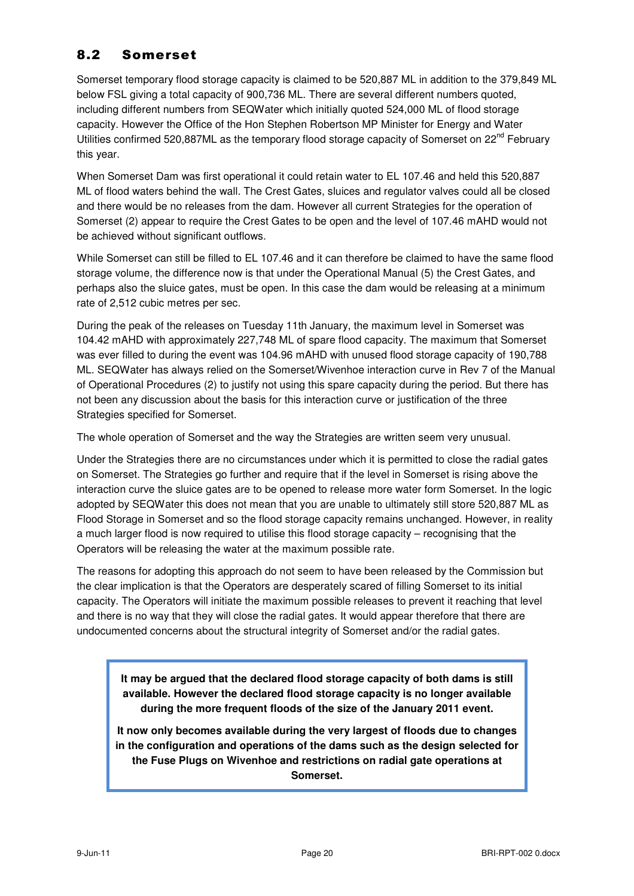#### 8.2 Somerset

Somerset temporary flood storage capacity is claimed to be 520,887 ML in addition to the 379,849 ML below FSL giving a total capacity of 900,736 ML. There are several different numbers quoted, including different numbers from SEQWater which initially quoted 524,000 ML of flood storage capacity. However the Office of the Hon Stephen Robertson MP Minister for Energy and Water Utilities confirmed 520,887ML as the temporary flood storage capacity of Somerset on 22<sup>nd</sup> February this year.

When Somerset Dam was first operational it could retain water to EL 107.46 and held this 520,887 ML of flood waters behind the wall. The Crest Gates, sluices and regulator valves could all be closed and there would be no releases from the dam. However all current Strategies for the operation of Somerset (2) appear to require the Crest Gates to be open and the level of 107.46 mAHD would not be achieved without significant outflows.

While Somerset can still be filled to EL 107.46 and it can therefore be claimed to have the same flood storage volume, the difference now is that under the Operational Manual (5) the Crest Gates, and perhaps also the sluice gates, must be open. In this case the dam would be releasing at a minimum rate of 2,512 cubic metres per sec.

During the peak of the releases on Tuesday 11th January, the maximum level in Somerset was 104.42 mAHD with approximately 227,748 ML of spare flood capacity. The maximum that Somerset was ever filled to during the event was 104.96 mAHD with unused flood storage capacity of 190,788 ML. SEQWater has always relied on the Somerset/Wivenhoe interaction curve in Rev 7 of the Manual of Operational Procedures (2) to justify not using this spare capacity during the period. But there has not been any discussion about the basis for this interaction curve or justification of the three Strategies specified for Somerset.

The whole operation of Somerset and the way the Strategies are written seem very unusual.

Under the Strategies there are no circumstances under which it is permitted to close the radial gates on Somerset. The Strategies go further and require that if the level in Somerset is rising above the interaction curve the sluice gates are to be opened to release more water form Somerset. In the logic adopted by SEQWater this does not mean that you are unable to ultimately still store 520,887 ML as Flood Storage in Somerset and so the flood storage capacity remains unchanged. However, in reality a much larger flood is now required to utilise this flood storage capacity – recognising that the Operators will be releasing the water at the maximum possible rate.

The reasons for adopting this approach do not seem to have been released by the Commission but the clear implication is that the Operators are desperately scared of filling Somerset to its initial capacity. The Operators will initiate the maximum possible releases to prevent it reaching that level and there is no way that they will close the radial gates. It would appear therefore that there are undocumented concerns about the structural integrity of Somerset and/or the radial gates.

**It may be argued that the declared flood storage capacity of both dams is still available. However the declared flood storage capacity is no longer available during the more frequent floods of the size of the January 2011 event.** 

**It now only becomes available during the very largest of floods due to changes in the configuration and operations of the dams such as the design selected for the Fuse Plugs on Wivenhoe and restrictions on radial gate operations at Somerset.**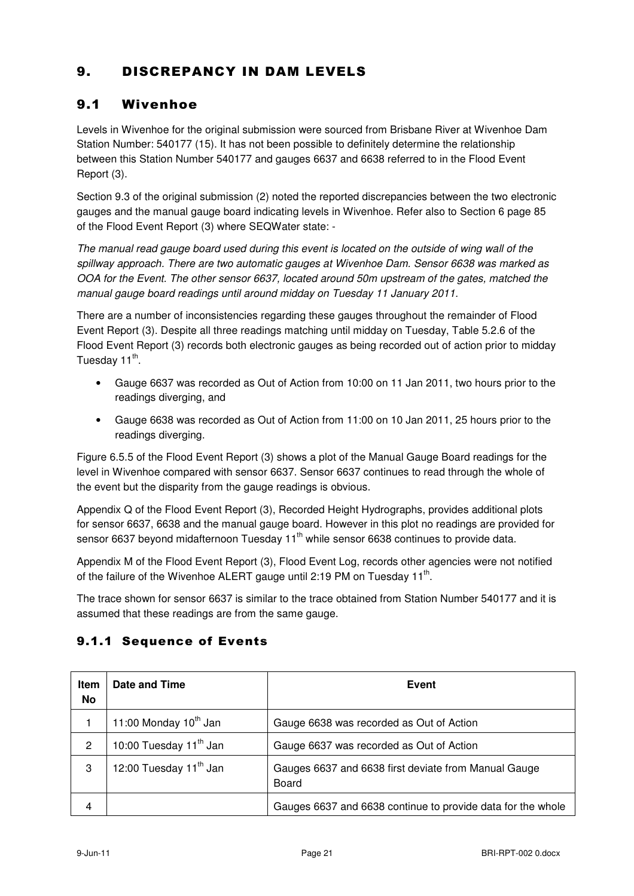## 9. DISCREPANCY IN DAM LEVELS

#### 9.1 Wivenhoe

Levels in Wivenhoe for the original submission were sourced from Brisbane River at Wivenhoe Dam Station Number: 540177 (15). It has not been possible to definitely determine the relationship between this Station Number 540177 and gauges 6637 and 6638 referred to in the Flood Event Report (3).

Section 9.3 of the original submission (2) noted the reported discrepancies between the two electronic gauges and the manual gauge board indicating levels in Wivenhoe. Refer also to Section 6 page 85 of the Flood Event Report (3) where SEQWater state: -

The manual read gauge board used during this event is located on the outside of wing wall of the spillway approach. There are two automatic gauges at Wivenhoe Dam. Sensor 6638 was marked as OOA for the Event. The other sensor 6637, located around 50m upstream of the gates, matched the manual gauge board readings until around midday on Tuesday 11 January 2011.

There are a number of inconsistencies regarding these gauges throughout the remainder of Flood Event Report (3). Despite all three readings matching until midday on Tuesday, Table 5.2.6 of the Flood Event Report (3) records both electronic gauges as being recorded out of action prior to midday Tuesday 11<sup>th</sup>.

- Gauge 6637 was recorded as Out of Action from 10:00 on 11 Jan 2011, two hours prior to the readings diverging, and
- Gauge 6638 was recorded as Out of Action from 11:00 on 10 Jan 2011, 25 hours prior to the readings diverging.

Figure 6.5.5 of the Flood Event Report (3) shows a plot of the Manual Gauge Board readings for the level in Wivenhoe compared with sensor 6637. Sensor 6637 continues to read through the whole of the event but the disparity from the gauge readings is obvious.

Appendix Q of the Flood Event Report (3), Recorded Height Hydrographs, provides additional plots for sensor 6637, 6638 and the manual gauge board. However in this plot no readings are provided for sensor 6637 beyond midafternoon Tuesday 11<sup>th</sup> while sensor 6638 continues to provide data.

Appendix M of the Flood Event Report (3), Flood Event Log, records other agencies were not notified of the failure of the Wivenhoe ALERT gauge until 2:19 PM on Tuesday 11<sup>th</sup>.

The trace shown for sensor 6637 is similar to the trace obtained from Station Number 540177 and it is assumed that these readings are from the same gauge.

| Item<br>No     | Date and Time                      | Event                                                         |
|----------------|------------------------------------|---------------------------------------------------------------|
|                | 11:00 Monday 10 <sup>th</sup> Jan  | Gauge 6638 was recorded as Out of Action                      |
| $\overline{2}$ | 10:00 Tuesday 11 <sup>th</sup> Jan | Gauge 6637 was recorded as Out of Action                      |
| 3              | 12:00 Tuesday 11 <sup>th</sup> Jan | Gauges 6637 and 6638 first deviate from Manual Gauge<br>Board |
| 4              |                                    | Gauges 6637 and 6638 continue to provide data for the whole   |

#### 9.1.1 Sequence of Events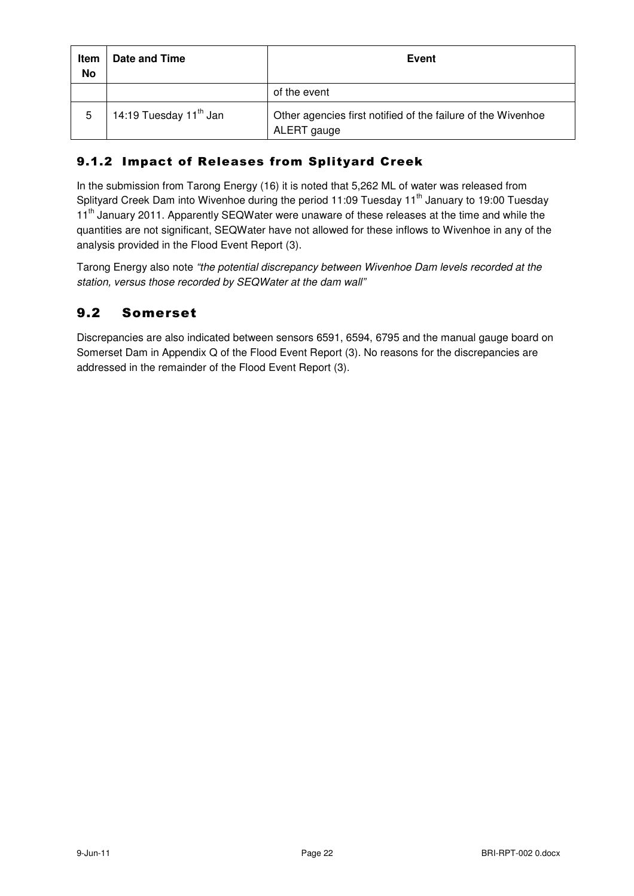| <b>Item</b><br>No | Date and Time                      | <b>Event</b>                                                                |
|-------------------|------------------------------------|-----------------------------------------------------------------------------|
|                   |                                    | of the event                                                                |
| 5                 | 14:19 Tuesday 11 <sup>th</sup> Jan | Other agencies first notified of the failure of the Wivenhoe<br>ALERT gauge |

#### 9.1.2 Impact of Releases from Splityard Creek

In the submission from Tarong Energy (16) it is noted that 5,262 ML of water was released from Splityard Creek Dam into Wivenhoe during the period 11:09 Tuesday 11<sup>th</sup> January to 19:00 Tuesday 11<sup>th</sup> January 2011. Apparently SEQWater were unaware of these releases at the time and while the quantities are not significant, SEQWater have not allowed for these inflows to Wivenhoe in any of the analysis provided in the Flood Event Report (3).

Tarong Energy also note "the potential discrepancy between Wivenhoe Dam levels recorded at the station, versus those recorded by SEQWater at the dam wall"

#### 9.2 Somerset

Discrepancies are also indicated between sensors 6591, 6594, 6795 and the manual gauge board on Somerset Dam in Appendix Q of the Flood Event Report (3). No reasons for the discrepancies are addressed in the remainder of the Flood Event Report (3).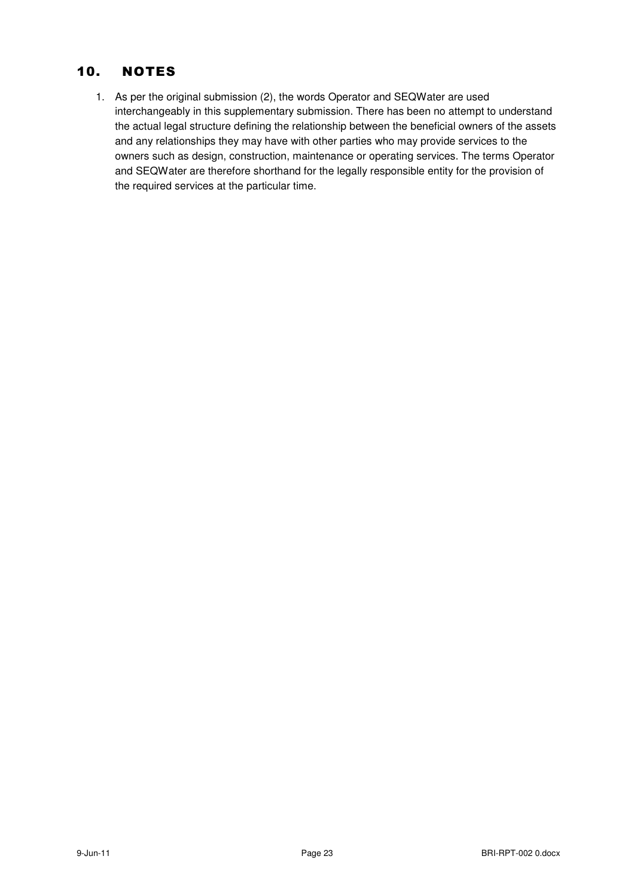#### 10. NOTES

1. As per the original submission (2), the words Operator and SEQWater are used interchangeably in this supplementary submission. There has been no attempt to understand the actual legal structure defining the relationship between the beneficial owners of the assets and any relationships they may have with other parties who may provide services to the owners such as design, construction, maintenance or operating services. The terms Operator and SEQWater are therefore shorthand for the legally responsible entity for the provision of the required services at the particular time.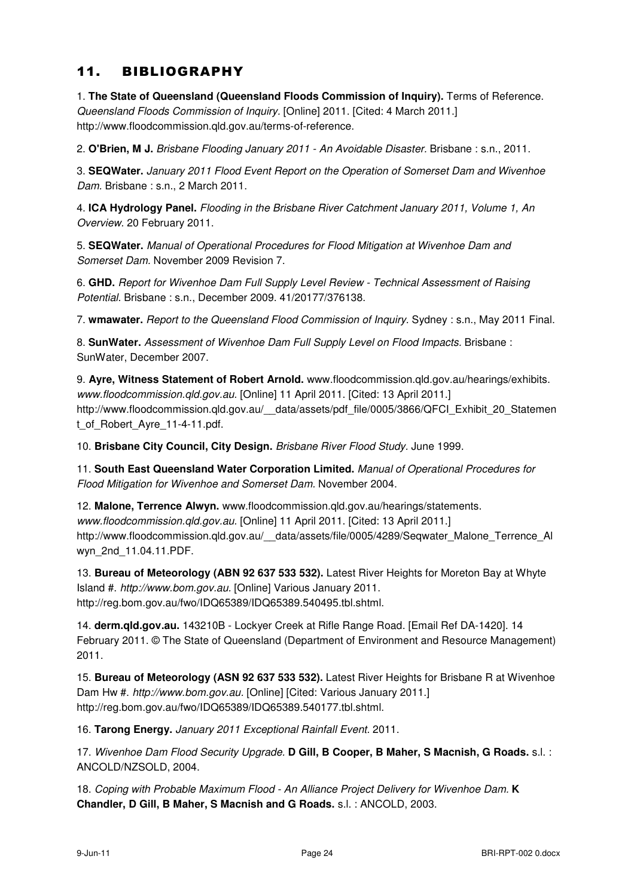#### 11. BIBLIOGRAPHY

1. **The State of Queensland (Queensland Floods Commission of Inquiry).** Terms of Reference. Queensland Floods Commission of Inquiry. [Online] 2011. [Cited: 4 March 2011.] http://www.floodcommission.qld.gov.au/terms-of-reference.

2. **O'Brien, M J.** Brisbane Flooding January 2011 - An Avoidable Disaster. Brisbane : s.n., 2011.

3. **SEQWater.** January 2011 Flood Event Report on the Operation of Somerset Dam and Wivenhoe Dam. Brisbane: s.n., 2 March 2011.

4. **ICA Hydrology Panel.** Flooding in the Brisbane River Catchment January 2011, Volume 1, An Overview. 20 February 2011.

5. **SEQWater.** Manual of Operational Procedures for Flood Mitigation at Wivenhoe Dam and Somerset Dam. November 2009 Revision 7.

6. **GHD.** Report for Wivenhoe Dam Full Supply Level Review - Technical Assessment of Raising Potential. Brisbane : s.n., December 2009. 41/20177/376138.

7. **wmawater.** Report to the Queensland Flood Commission of Inquiry. Sydney : s.n., May 2011 Final.

8. **SunWater.** Assessment of Wivenhoe Dam Full Supply Level on Flood Impacts. Brisbane : SunWater, December 2007.

9. **Ayre, Witness Statement of Robert Arnold.** www.floodcommission.qld.gov.au/hearings/exhibits. www.floodcommission.qld.gov.au. [Online] 11 April 2011. [Cited: 13 April 2011.] http://www.floodcommission.qld.gov.au/\_\_data/assets/pdf\_file/0005/3866/QFCI\_Exhibit\_20\_Statemen t\_of\_Robert\_Ayre\_11-4-11.pdf.

10. **Brisbane City Council, City Design.** Brisbane River Flood Study. June 1999.

11. **South East Queensland Water Corporation Limited.** Manual of Operational Procedures for Flood Mitigation for Wivenhoe and Somerset Dam. November 2004.

12. **Malone, Terrence Alwyn.** www.floodcommission.qld.gov.au/hearings/statements. www.floodcommission.qld.gov.au. [Online] 11 April 2011. [Cited: 13 April 2011.] http://www.floodcommission.qld.gov.au/\_\_data/assets/file/0005/4289/Seqwater\_Malone\_Terrence\_Al wyn\_2nd\_11.04.11.PDF.

13. **Bureau of Meteorology (ABN 92 637 533 532).** Latest River Heights for Moreton Bay at Whyte Island #. http://www.bom.gov.au. [Online] Various January 2011. http://reg.bom.gov.au/fwo/IDQ65389/IDQ65389.540495.tbl.shtml.

14. **derm.qld.gov.au.** 143210B - Lockyer Creek at Rifle Range Road. [Email Ref DA-1420]. 14 February 2011. © The State of Queensland (Department of Environment and Resource Management) 2011.

15. **Bureau of Meteorology (ASN 92 637 533 532).** Latest River Heights for Brisbane R at Wivenhoe Dam Hw #. http://www.bom.gov.au. [Online] [Cited: Various January 2011.] http://reg.bom.gov.au/fwo/IDQ65389/IDQ65389.540177.tbl.shtml.

16. **Tarong Energy.** January 2011 Exceptional Rainfall Event. 2011.

17. Wivenhoe Dam Flood Security Upgrade. **D Gill, B Cooper, B Maher, S Macnish, G Roads.** s.l. : ANCOLD/NZSOLD, 2004.

18. Coping with Probable Maximum Flood - An Alliance Project Delivery for Wivenhoe Dam. **K Chandler, D Gill, B Maher, S Macnish and G Roads.** s.l. : ANCOLD, 2003.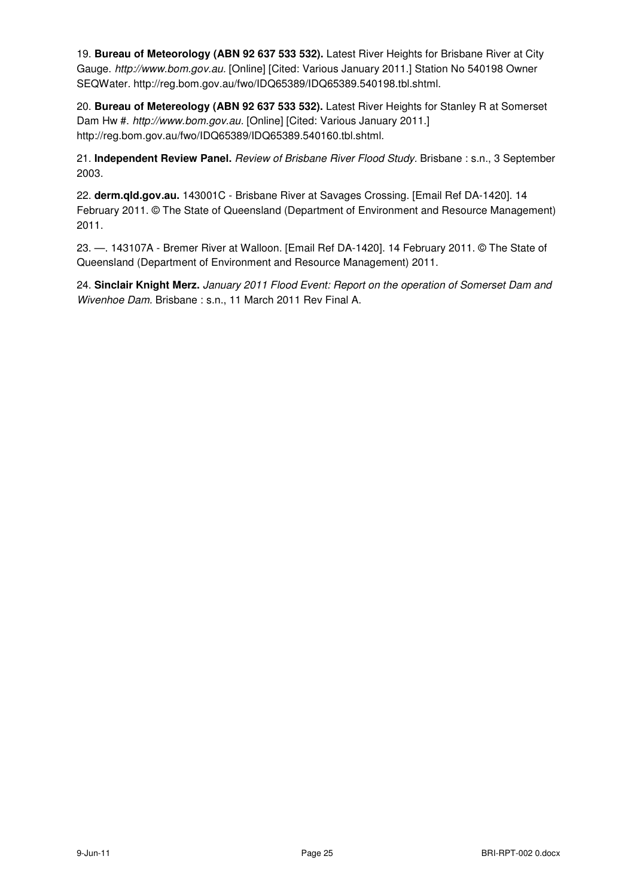19. **Bureau of Meteorology (ABN 92 637 533 532).** Latest River Heights for Brisbane River at City Gauge. http://www.bom.gov.au. [Online] [Cited: Various January 2011.] Station No 540198 Owner SEQWater. http://reg.bom.gov.au/fwo/IDQ65389/IDQ65389.540198.tbl.shtml.

20. **Bureau of Metereology (ABN 92 637 533 532).** Latest River Heights for Stanley R at Somerset Dam Hw #. http://www.bom.gov.au. [Online] [Cited: Various January 2011.] http://reg.bom.gov.au/fwo/IDQ65389/IDQ65389.540160.tbl.shtml.

21. **Independent Review Panel.** Review of Brisbane River Flood Study. Brisbane : s.n., 3 September 2003.

22. **derm.qld.gov.au.** 143001C - Brisbane River at Savages Crossing. [Email Ref DA-1420]. 14 February 2011. © The State of Queensland (Department of Environment and Resource Management) 2011.

23. —. 143107A - Bremer River at Walloon. [Email Ref DA-1420]. 14 February 2011. © The State of Queensland (Department of Environment and Resource Management) 2011.

24. **Sinclair Knight Merz.** January 2011 Flood Event: Report on the operation of Somerset Dam and Wivenhoe Dam. Brisbane : s.n., 11 March 2011 Rev Final A.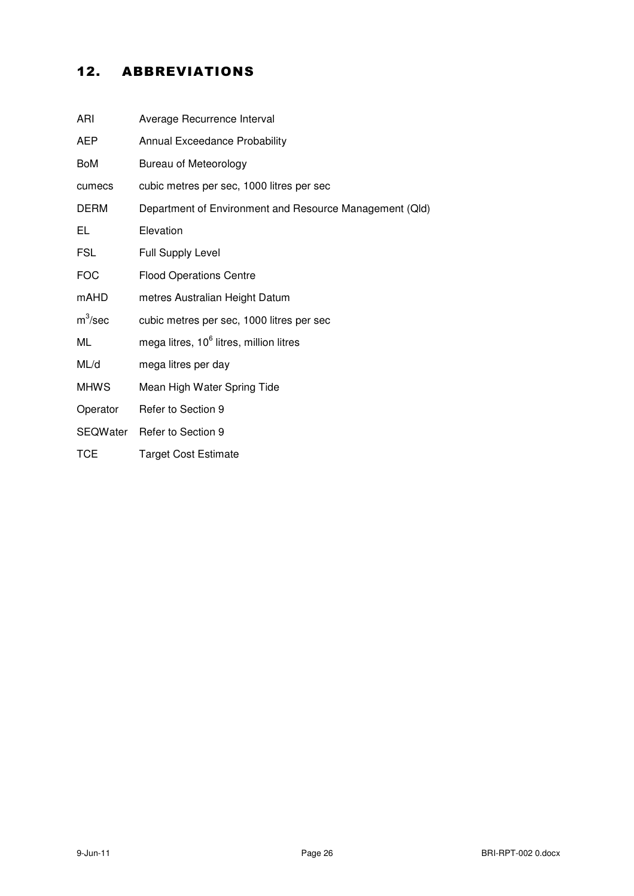## 12. ABBREVIATIONS

| ARI             | Average Recurrence Interval                             |
|-----------------|---------------------------------------------------------|
| AEP             | Annual Exceedance Probability                           |
| <b>BoM</b>      | <b>Bureau of Meteorology</b>                            |
| cumecs          | cubic metres per sec, 1000 litres per sec               |
| <b>DERM</b>     | Department of Environment and Resource Management (Qld) |
| EL              | Elevation                                               |
| <b>FSL</b>      | <b>Full Supply Level</b>                                |
| <b>FOC</b>      | <b>Flood Operations Centre</b>                          |
| <b>mAHD</b>     | metres Australian Height Datum                          |
| $m^3$ /sec      | cubic metres per sec, 1000 litres per sec               |
| ML              | mega litres, 10 <sup>6</sup> litres, million litres     |
| ML/d            | mega litres per day                                     |
| <b>MHWS</b>     | Mean High Water Spring Tide                             |
| Operator        | Refer to Section 9                                      |
| <b>SEQWater</b> | Refer to Section 9                                      |
| <b>TCE</b>      | <b>Target Cost Estimate</b>                             |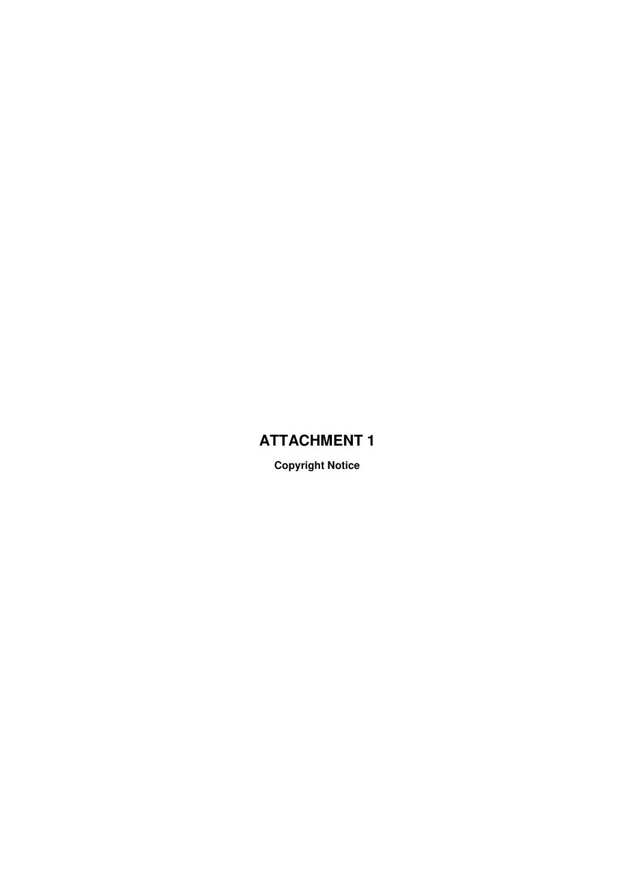## **ATTACHMENT 1**

**Copyright Notice**